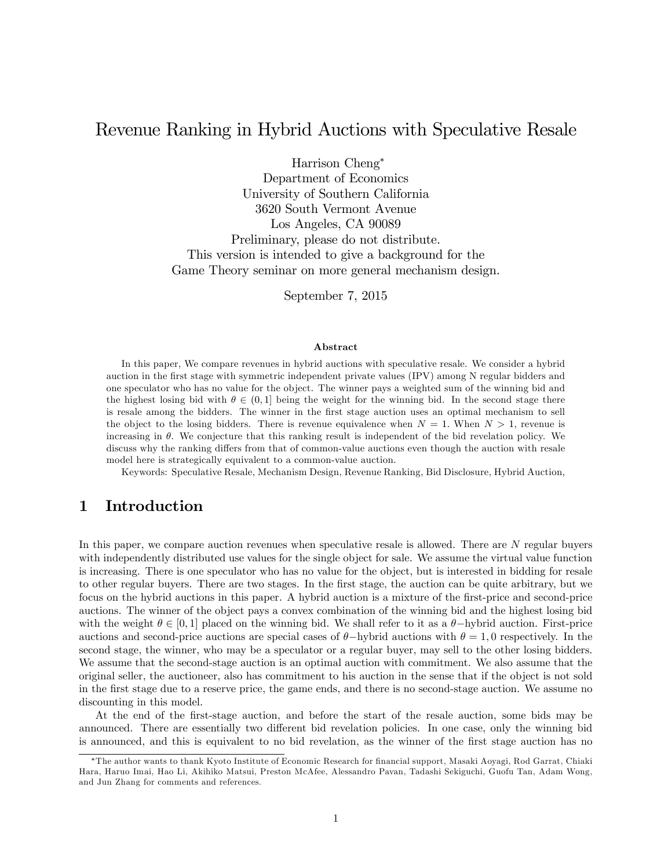# Revenue Ranking in Hybrid Auctions with Speculative Resale

Harrison Cheng

Department of Economics University of Southern California 3620 South Vermont Avenue Los Angeles, CA 90089 Preliminary, please do not distribute. This version is intended to give a background for the Game Theory seminar on more general mechanism design.

September 7, 2015

#### Abstract

In this paper, We compare revenues in hybrid auctions with speculative resale. We consider a hybrid auction in the first stage with symmetric independent private values (IPV) among N regular bidders and one speculator who has no value for the object. The winner pays a weighted sum of the winning bid and the highest losing bid with  $\theta \in (0,1]$  being the weight for the winning bid. In the second stage there is resale among the bidders. The winner in the Örst stage auction uses an optimal mechanism to sell the object to the losing bidders. There is revenue equivalence when  $N = 1$ . When  $N > 1$ , revenue is increasing in  $\theta$ . We conjecture that this ranking result is independent of the bid revelation policy. We discuss why the ranking differs from that of common-value auctions even though the auction with resale model here is strategically equivalent to a common-value auction.

Keywords: Speculative Resale, Mechanism Design, Revenue Ranking, Bid Disclosure, Hybrid Auction,

### 1 Introduction

In this paper, we compare auction revenues when speculative resale is allowed. There are N regular buyers with independently distributed use values for the single object for sale. We assume the virtual value function is increasing. There is one speculator who has no value for the object, but is interested in bidding for resale to other regular buyers. There are two stages. In the Örst stage, the auction can be quite arbitrary, but we focus on the hybrid auctions in this paper. A hybrid auction is a mixture of the first-price and second-price auctions. The winner of the object pays a convex combination of the winning bid and the highest losing bid with the weight  $\theta \in [0,1]$  placed on the winning bid. We shall refer to it as a  $\theta$ -hybrid auction. First-price auctions and second-price auctions are special cases of  $\theta$ -hybrid auctions with  $\theta = 1, 0$  respectively. In the second stage, the winner, who may be a speculator or a regular buyer, may sell to the other losing bidders. We assume that the second-stage auction is an optimal auction with commitment. We also assume that the original seller, the auctioneer, also has commitment to his auction in the sense that if the object is not sold in the Örst stage due to a reserve price, the game ends, and there is no second-stage auction. We assume no discounting in this model.

At the end of the first-stage auction, and before the start of the resale auction, some bids may be announced. There are essentially two different bid revelation policies. In one case, only the winning bid is announced, and this is equivalent to no bid revelation, as the winner of the first stage auction has no

<sup>\*</sup>The author wants to thank Kyoto Institute of Economic Research for financial support, Masaki Aoyagi, Rod Garrat, Chiaki Hara, Haruo Imai, Hao Li, Akihiko Matsui, Preston McAfee, Alessandro Pavan, Tadashi Sekiguchi, Guofu Tan, Adam Wong, and Jun Zhang for comments and references.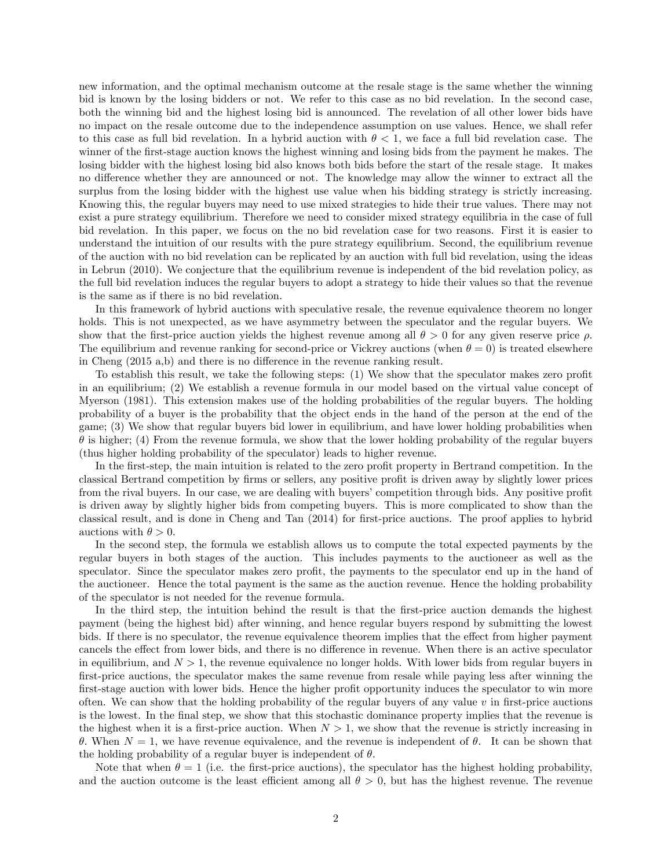new information, and the optimal mechanism outcome at the resale stage is the same whether the winning bid is known by the losing bidders or not. We refer to this case as no bid revelation. In the second case, both the winning bid and the highest losing bid is announced. The revelation of all other lower bids have no impact on the resale outcome due to the independence assumption on use values. Hence, we shall refer to this case as full bid revelation. In a hybrid auction with  $\theta < 1$ , we face a full bid revelation case. The winner of the first-stage auction knows the highest winning and losing bids from the payment he makes. The losing bidder with the highest losing bid also knows both bids before the start of the resale stage. It makes no difference whether they are announced or not. The knowledge may allow the winner to extract all the surplus from the losing bidder with the highest use value when his bidding strategy is strictly increasing. Knowing this, the regular buyers may need to use mixed strategies to hide their true values. There may not exist a pure strategy equilibrium. Therefore we need to consider mixed strategy equilibria in the case of full bid revelation. In this paper, we focus on the no bid revelation case for two reasons. First it is easier to understand the intuition of our results with the pure strategy equilibrium. Second, the equilibrium revenue of the auction with no bid revelation can be replicated by an auction with full bid revelation, using the ideas in Lebrun (2010). We conjecture that the equilibrium revenue is independent of the bid revelation policy, as the full bid revelation induces the regular buyers to adopt a strategy to hide their values so that the revenue is the same as if there is no bid revelation.

In this framework of hybrid auctions with speculative resale, the revenue equivalence theorem no longer holds. This is not unexpected, as we have asymmetry between the speculator and the regular buyers. We show that the first-price auction yields the highest revenue among all  $\theta > 0$  for any given reserve price  $\rho$ . The equilibrium and revenue ranking for second-price or Vickrey auctions (when  $\theta = 0$ ) is treated elsewhere in Cheng  $(2015 a,b)$  and there is no difference in the revenue ranking result.

To establish this result, we take the following steps: (1) We show that the speculator makes zero profit in an equilibrium; (2) We establish a revenue formula in our model based on the virtual value concept of Myerson (1981). This extension makes use of the holding probabilities of the regular buyers. The holding probability of a buyer is the probability that the object ends in the hand of the person at the end of the game; (3) We show that regular buyers bid lower in equilibrium, and have lower holding probabilities when  $\theta$  is higher; (4) From the revenue formula, we show that the lower holding probability of the regular buyers (thus higher holding probability of the speculator) leads to higher revenue.

In the first-step, the main intuition is related to the zero profit property in Bertrand competition. In the classical Bertrand competition by Örms or sellers, any positive proÖt is driven away by slightly lower prices from the rival buyers. In our case, we are dealing with buyers' competition through bids. Any positive profit is driven away by slightly higher bids from competing buyers. This is more complicated to show than the classical result, and is done in Cheng and Tan (2014) for first-price auctions. The proof applies to hybrid auctions with  $\theta > 0$ .

In the second step, the formula we establish allows us to compute the total expected payments by the regular buyers in both stages of the auction. This includes payments to the auctioneer as well as the speculator. Since the speculator makes zero profit, the payments to the speculator end up in the hand of the auctioneer. Hence the total payment is the same as the auction revenue. Hence the holding probability of the speculator is not needed for the revenue formula.

In the third step, the intuition behind the result is that the first-price auction demands the highest payment (being the highest bid) after winning, and hence regular buyers respond by submitting the lowest bids. If there is no speculator, the revenue equivalence theorem implies that the effect from higher payment cancels the effect from lower bids, and there is no difference in revenue. When there is an active speculator in equilibrium, and  $N > 1$ , the revenue equivalence no longer holds. With lower bids from regular buyers in first-price auctions, the speculator makes the same revenue from resale while paying less after winning the first-stage auction with lower bids. Hence the higher profit opportunity induces the speculator to win more often. We can show that the holding probability of the regular buyers of any value  $v$  in first-price auctions is the lowest. In the Önal step, we show that this stochastic dominance property implies that the revenue is the highest when it is a first-price auction. When  $N > 1$ , we show that the revenue is strictly increasing in  $\theta$ . When  $N = 1$ , we have revenue equivalence, and the revenue is independent of  $\theta$ . It can be shown that the holding probability of a regular buyer is independent of  $\theta$ .

Note that when  $\theta = 1$  (i.e. the first-price auctions), the speculator has the highest holding probability, and the auction outcome is the least efficient among all  $\theta > 0$ , but has the highest revenue. The revenue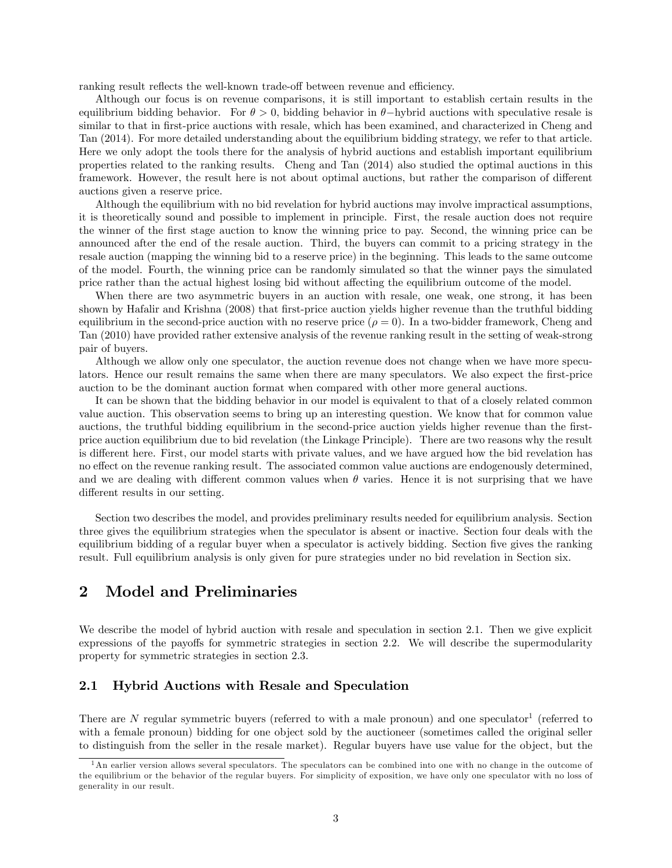ranking result reflects the well-known trade-off between revenue and efficiency.

Although our focus is on revenue comparisons, it is still important to establish certain results in the equilibrium bidding behavior. For  $\theta > 0$ , bidding behavior in  $\theta$ -hybrid auctions with speculative resale is similar to that in first-price auctions with resale, which has been examined, and characterized in Cheng and Tan (2014). For more detailed understanding about the equilibrium bidding strategy, we refer to that article. Here we only adopt the tools there for the analysis of hybrid auctions and establish important equilibrium properties related to the ranking results. Cheng and Tan (2014) also studied the optimal auctions in this framework. However, the result here is not about optimal auctions, but rather the comparison of different auctions given a reserve price.

Although the equilibrium with no bid revelation for hybrid auctions may involve impractical assumptions, it is theoretically sound and possible to implement in principle. First, the resale auction does not require the winner of the first stage auction to know the winning price to pay. Second, the winning price can be announced after the end of the resale auction. Third, the buyers can commit to a pricing strategy in the resale auction (mapping the winning bid to a reserve price) in the beginning. This leads to the same outcome of the model. Fourth, the winning price can be randomly simulated so that the winner pays the simulated price rather than the actual highest losing bid without affecting the equilibrium outcome of the model.

When there are two asymmetric buyers in an auction with resale, one weak, one strong, it has been shown by Hafalir and Krishna (2008) that first-price auction yields higher revenue than the truthful bidding equilibrium in the second-price auction with no reserve price  $(\rho = 0)$ . In a two-bidder framework, Cheng and Tan (2010) have provided rather extensive analysis of the revenue ranking result in the setting of weak-strong pair of buyers.

Although we allow only one speculator, the auction revenue does not change when we have more speculators. Hence our result remains the same when there are many speculators. We also expect the first-price auction to be the dominant auction format when compared with other more general auctions.

It can be shown that the bidding behavior in our model is equivalent to that of a closely related common value auction. This observation seems to bring up an interesting question. We know that for common value auctions, the truthful bidding equilibrium in the second-price auction yields higher revenue than the firstprice auction equilibrium due to bid revelation (the Linkage Principle). There are two reasons why the result is different here. First, our model starts with private values, and we have argued how the bid revelation has no effect on the revenue ranking result. The associated common value auctions are endogenously determined, and we are dealing with different common values when  $\theta$  varies. Hence it is not surprising that we have different results in our setting.

Section two describes the model, and provides preliminary results needed for equilibrium analysis. Section three gives the equilibrium strategies when the speculator is absent or inactive. Section four deals with the equilibrium bidding of a regular buyer when a speculator is actively bidding. Section five gives the ranking result. Full equilibrium analysis is only given for pure strategies under no bid revelation in Section six.

# 2 Model and Preliminaries

We describe the model of hybrid auction with resale and speculation in section 2.1. Then we give explicit expressions of the payoffs for symmetric strategies in section 2.2. We will describe the supermodularity property for symmetric strategies in section 2.3.

### 2.1 Hybrid Auctions with Resale and Speculation

There are N regular symmetric buyers (referred to with a male pronoun) and one speculator<sup>1</sup> (referred to with a female pronoun) bidding for one object sold by the auctioneer (sometimes called the original seller to distinguish from the seller in the resale market). Regular buyers have use value for the object, but the

<sup>&</sup>lt;sup>1</sup>An earlier version allows several speculators. The speculators can be combined into one with no change in the outcome of the equilibrium or the behavior of the regular buyers. For simplicity of exposition, we have only one speculator with no loss of generality in our result.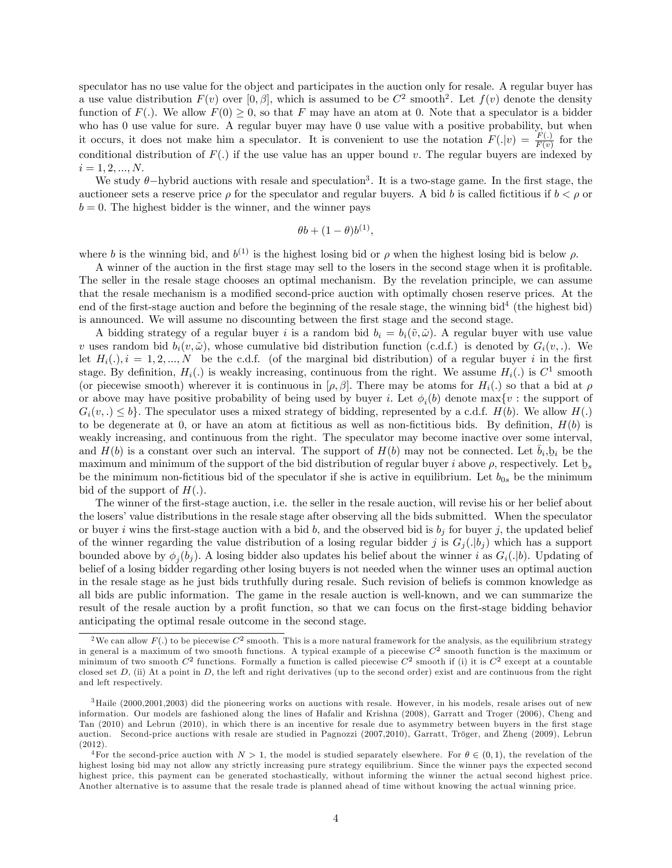speculator has no use value for the object and participates in the auction only for resale. A regular buyer has a use value distribution  $F(v)$  over  $[0, \beta]$ , which is assumed to be  $C^2$  smooth<sup>2</sup>. Let  $f(v)$  denote the density function of  $F(.)$ . We allow  $F(0) \geq 0$ , so that F may have an atom at 0. Note that a speculator is a bidder who has 0 use value for sure. A regular buyer may have 0 use value with a positive probability, but when it occurs, it does not make him a speculator. It is convenient to use the notation  $F(.\vert v) = \frac{F(.)}{F(v)}$  for the conditional distribution of  $F(.)$  if the use value has an upper bound v. The regular buyers are indexed by  $i = 1, 2, ..., N.$ 

We study  $\theta$ -hybrid auctions with resale and speculation<sup>3</sup>. It is a two-stage game. In the first stage, the auctioneer sets a reserve price  $\rho$  for the speculator and regular buyers. A bid b is called fictitious if  $b < \rho$  or  $b = 0$ . The highest bidder is the winner, and the winner pays

$$
\theta b + (1 - \theta)b^{(1)},
$$

where b is the winning bid, and  $b^{(1)}$  is the highest losing bid or  $\rho$  when the highest losing bid is below  $\rho$ .

A winner of the auction in the first stage may sell to the losers in the second stage when it is profitable. The seller in the resale stage chooses an optimal mechanism. By the revelation principle, we can assume that the resale mechanism is a modified second-price auction with optimally chosen reserve prices. At the end of the first-stage auction and before the beginning of the resale stage, the winning bid<sup>4</sup> (the highest bid) is announced. We will assume no discounting between the first stage and the second stage.

A bidding strategy of a regular buyer i is a random bid  $b_i = b_i(\tilde{v}, \tilde{\omega})$ . A regular buyer with use value v uses random bid  $b_i(v, \tilde{\omega})$ , whose cumulative bid distribution function (c.d.f.) is denoted by  $G_i(v, \ldots)$ . We let  $H_i(.)$ ,  $i = 1, 2, ..., N$  be the c.d.f. (of the marginal bid distribution) of a regular buyer i in the first stage. By definition,  $H_i(.)$  is weakly increasing, continuous from the right. We assume  $H_i(.)$  is  $C^1$  smooth (or piecewise smooth) wherever it is continuous in  $[\rho, \beta]$ . There may be atoms for  $H_i(.)$  so that a bid at  $\rho$ or above may have positive probability of being used by buyer i. Let  $\phi_i(b)$  denote  $\max\{v :$  the support of  $G_i(v,.) \leq b$ . The speculator uses a mixed strategy of bidding, represented by a c.d.f.  $H(b)$ . We allow  $H(.)$ to be degenerate at 0, or have an atom at fictitious as well as non-fictitious bids. By definition,  $H(b)$  is weakly increasing, and continuous from the right. The speculator may become inactive over some interval, and  $H(b)$  is a constant over such an interval. The support of  $H(b)$  may not be connected. Let  $\bar{b}_i, \bar{b}_i$  be the maximum and minimum of the support of the bid distribution of regular buyer i above  $\rho$ , respectively. Let  $b_s$ be the minimum non-fictitious bid of the speculator if she is active in equilibrium. Let  $b_{0s}$  be the minimum non-fictitious bid of the speculator if she is active in equilibrium. Let  $b_{0s}$  be the minimum bid of the support of  $H(.)$ .

The winner of the first-stage auction, i.e. the seller in the resale auction, will revise his or her belief about the losers' value distributions in the resale stage after observing all the bids submitted. When the speculator or buyer i wins the first-stage auction with a bid b, and the observed bid is  $b_j$  for buyer j, the updated belief of the winner regarding the value distribution of a losing regular bidder j is  $G_i(.\vert b_i)$  which has a support bounded above by  $\phi_j(b_j)$ . A losing bidder also updates his belief about the winner i as  $G_i(.|b)$ . Updating of belief of a losing bidder regarding other losing buyers is not needed when the winner uses an optimal auction in the resale stage as he just bids truthfully during resale. Such revision of beliefs is common knowledge as all bids are public information. The game in the resale auction is well-known, and we can summarize the result of the resale auction by a profit function, so that we can focus on the first-stage bidding behavior anticipating the optimal resale outcome in the second stage.

 $^2$ We can allow  $F(.)$  to be piecewise  $C^2$  smooth. This is a more natural framework for the analysis, as the equilibrium strategy in general is a maximum of two smooth functions. A typical example of a piecewise  $C^2$  smooth function is the maximum or minimum of two smooth  $C^2$  functions. Formally a function is called piecewise  $C^2$  smooth if (i) it is  $C^2$  except at a countable closed set  $D$ , (ii) At a point in  $D$ , the left and right derivatives (up to the second order) exist and are continuous from the right and left respectively.

<sup>&</sup>lt;sup>3</sup>Haile (2000,2001,2003) did the pioneering works on auctions with resale. However, in his models, resale arises out of new information. Our models are fashioned along the lines of Hafalir and Krishna (2008), Garratt and Troger (2006), Cheng and Tan (2010) and Lebrun (2010), in which there is an incentive for resale due to asymmetry between buyers in the first stage auction. Second-price auctions with resale are studied in Pagnozzi (2007,2010), Garratt, Tröger, and Zheng (2009), Lebrun (2012).

<sup>&</sup>lt;sup>4</sup>For the second-price auction with  $N > 1$ , the model is studied separately elsewhere. For  $\theta \in (0,1)$ , the revelation of the highest losing bid may not allow any strictly increasing pure strategy equilibrium. Since the winner pays the expected second highest price, this payment can be generated stochastically, without informing the winner the actual second highest price. Another alternative is to assume that the resale trade is planned ahead of time without knowing the actual winning price.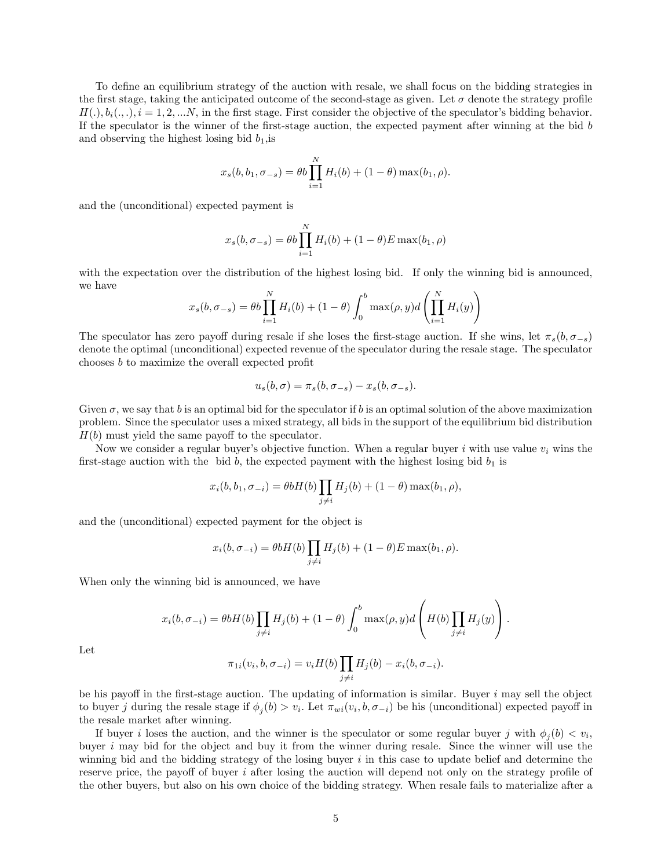To define an equilibrium strategy of the auction with resale, we shall focus on the bidding strategies in the first stage, taking the anticipated outcome of the second-stage as given. Let  $\sigma$  denote the strategy profile  $H(.)$ ,  $b_i(.,.)$ ,  $i = 1, 2, ...N$ , in the first stage. First consider the objective of the speculator's bidding behavior. If the speculator is the winner of the first-stage auction, the expected payment after winning at the bid  $b$ and observing the highest losing bid  $b_1$ , is

$$
x_s(b, b_1, \sigma_{-s}) = \theta b \prod_{i=1}^N H_i(b) + (1 - \theta) \max(b_1, \rho).
$$

and the (unconditional) expected payment is

$$
x_s(b, \sigma_{-s}) = \theta b \prod_{i=1}^{N} H_i(b) + (1 - \theta) E \max(b_1, \rho)
$$

with the expectation over the distribution of the highest losing bid. If only the winning bid is announced, we have

$$
x_s(b, \sigma_{-s}) = \theta b \prod_{i=1}^N H_i(b) + (1 - \theta) \int_0^b \max(\rho, y) d \left( \prod_{i=1}^N H_i(y) \right)
$$

The speculator has zero payoff during resale if she loses the first-stage auction. If she wins, let  $\pi_s(b, \sigma_{-s})$ denote the optimal (unconditional) expected revenue of the speculator during the resale stage. The speculator chooses  $b$  to maximize the overall expected profit

$$
u_s(b,\sigma)=\pi_s(b,\sigma_{-s})-x_s(b,\sigma_{-s}).
$$

Given  $\sigma$ , we say that b is an optimal bid for the speculator if b is an optimal solution of the above maximization problem. Since the speculator uses a mixed strategy, all bids in the support of the equilibrium bid distribution  $H(b)$  must yield the same payoff to the speculator.

Now we consider a regular buyer's objective function. When a regular buyer i with use value  $v_i$  wins the first-stage auction with the bid b, the expected payment with the highest losing bid  $b_1$  is

$$
x_i(b, b_1, \sigma_{-i}) = \theta b H(b) \prod_{j \neq i} H_j(b) + (1 - \theta) \max(b_1, \rho),
$$

and the (unconditional) expected payment for the object is

$$
x_i(b, \sigma_{-i}) = \theta b H(b) \prod_{j \neq i} H_j(b) + (1 - \theta) E \max(b_1, \rho).
$$

When only the winning bid is announced, we have

$$
x_i(b, \sigma_{-i}) = \theta b H(b) \prod_{j \neq i} H_j(b) + (1 - \theta) \int_0^b \max(\rho, y) d \left( H(b) \prod_{j \neq i} H_j(y) \right).
$$

Let

$$
\pi_{1i}(v_i, b, \sigma_{-i}) = v_i H(b) \prod_{j \neq i} H_j(b) - x_i(b, \sigma_{-i}).
$$

be his payoff in the first-stage auction. The updating of information is similar. Buyer  $i$  may sell the object to buyer j during the resale stage if  $\phi_j(b) > v_i$ . Let  $\pi_{wi}(v_i, b, \sigma_{-i})$  be his (unconditional) expected payoff in the resale market after winning.

If buyer *i* loses the auction, and the winner is the speculator or some regular buyer *j* with  $\phi_j(b) < v_i$ , buyer i may bid for the object and buy it from the winner during resale. Since the winner will use the winning bid and the bidding strategy of the losing buyer  $i$  in this case to update belief and determine the reserve price, the payoff of buyer  $i$  after losing the auction will depend not only on the strategy profile of the other buyers, but also on his own choice of the bidding strategy. When resale fails to materialize after a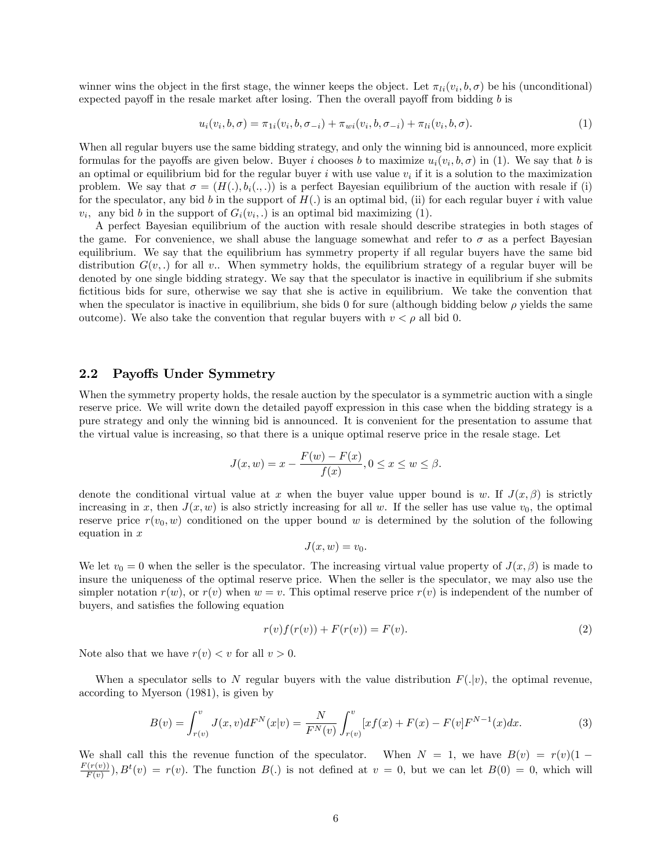winner wins the object in the first stage, the winner keeps the object. Let  $\pi_{li}(v_i, b, \sigma)$  be his (unconditional) expected payoff in the resale market after losing. Then the overall payoff from bidding  $b$  is

$$
u_i(v_i, b, \sigma) = \pi_{1i}(v_i, b, \sigma_{-i}) + \pi_{wi}(v_i, b, \sigma_{-i}) + \pi_{li}(v_i, b, \sigma).
$$
 (1)

When all regular buyers use the same bidding strategy, and only the winning bid is announced, more explicit formulas for the payoffs are given below. Buyer i chooses b to maximize  $u_i(v_i, b, \sigma)$  in (1). We say that b is an optimal or equilibrium bid for the regular buyer  $i$  with use value  $v_i$  if it is a solution to the maximization problem. We say that  $\sigma = (H(.), b_i(., .))$  is a perfect Bayesian equilibrium of the auction with resale if (i) for the speculator, any bid b in the support of  $H(.)$  is an optimal bid, (ii) for each regular buyer i with value  $v_i$ , any bid b in the support of  $G_i(v_i,.)$  is an optimal bid maximizing (1).

A perfect Bayesian equilibrium of the auction with resale should describe strategies in both stages of the game. For convenience, we shall abuse the language somewhat and refer to  $\sigma$  as a perfect Bayesian equilibrium. We say that the equilibrium has symmetry property if all regular buyers have the same bid distribution  $G(v,.)$  for all v.. When symmetry holds, the equilibrium strategy of a regular buyer will be denoted by one single bidding strategy: We say that the speculator is inactive in equilibrium if she submits fictitious bids for sure, otherwise we say that she is active in equilibrium. We take the convention that when the speculator is inactive in equilibrium, she bids 0 for sure (although bidding below  $\rho$  yields the same outcome). We also take the convention that regular buyers with  $v < \rho$  all bid 0.

### 2.2 Payoffs Under Symmetry

When the symmetry property holds, the resale auction by the speculator is a symmetric auction with a single reserve price. We will write down the detailed payoff expression in this case when the bidding strategy is a pure strategy and only the winning bid is announced. It is convenient for the presentation to assume that the virtual value is increasing, so that there is a unique optimal reserve price in the resale stage. Let

$$
J(x, w) = x - \frac{F(w) - F(x)}{f(x)}, 0 \le x \le w \le \beta.
$$

denote the conditional virtual value at x when the buyer value upper bound is w. If  $J(x,\beta)$  is strictly increasing in x, then  $J(x, w)$  is also strictly increasing for all w. If the seller has use value  $v_0$ , the optimal reserve price  $r(v_0, w)$  conditioned on the upper bound w is determined by the solution of the following equation in  $x$ 

$$
J(x, w) = v_0.
$$

We let  $v_0 = 0$  when the seller is the speculator. The increasing virtual value property of  $J(x, \beta)$  is made to insure the uniqueness of the optimal reserve price. When the seller is the speculator, we may also use the simpler notation  $r(w)$ , or  $r(v)$  when  $w = v$ . This optimal reserve price  $r(v)$  is independent of the number of buyers, and satisfies the following equation

$$
r(v)f(r(v)) + F(r(v)) = F(v).
$$
\n(2)

Note also that we have  $r(v) < v$  for all  $v > 0$ .

When a speculator sells to N regular buyers with the value distribution  $F(|v)$ , the optimal revenue, according to Myerson (1981), is given by

$$
B(v) = \int_{r(v)}^{v} J(x, v) dF^{N}(x|v) = \frac{N}{F^{N}(v)} \int_{r(v)}^{v} [xf(x) + F(x) - F(v]F^{N-1}(x)dx.
$$
 (3)

We shall call this the revenue function of the speculator. When  $N = 1$ , we have  $B(v) = r(v)(1 F(r(v))$  $F(v(v))$ ,  $B^t(v) = r(v)$ . The function  $B(.)$  is not defined at  $v = 0$ , but we can let  $B(0) = 0$ , which will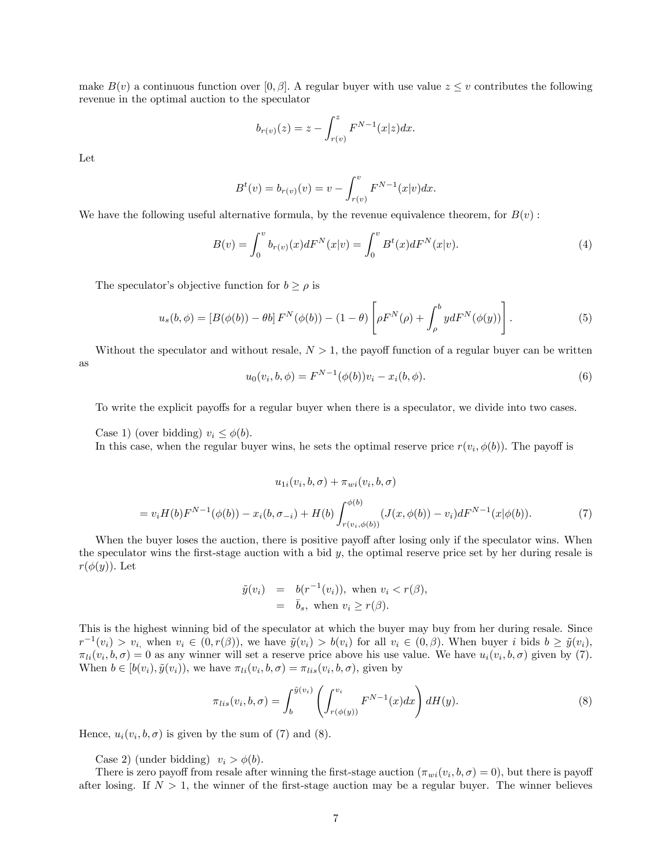make  $B(v)$  a continuous function over [0,  $\beta$ ]. A regular buyer with use value  $z \leq v$  contributes the following revenue in the optimal auction to the speculator

$$
b_{r(v)}(z) = z - \int_{r(v)}^{z} F^{N-1}(x|z) dx.
$$

Let

$$
B^{t}(v) = b_{r(v)}(v) = v - \int_{r(v)}^{v} F^{N-1}(x|v) dx.
$$

We have the following useful alternative formula, by the revenue equivalence theorem, for  $B(v)$ :

$$
B(v) = \int_0^v b_{r(v)}(x) dF^N(x|v) = \int_0^v B^t(x) dF^N(x|v).
$$
 (4)

The speculator's objective function for  $b \ge \rho$  is

$$
u_s(b,\phi) = \left[B(\phi(b)) - \theta b\right] F^N(\phi(b)) - (1 - \theta) \left[\rho F^N(\rho) + \int_{\rho}^b y dF^N(\phi(y))\right].
$$
\n(5)

Without the speculator and without resale,  $N > 1$ , the payoff function of a regular buyer can be written as

$$
u_0(v_i, b, \phi) = F^{N-1}(\phi(b))v_i - x_i(b, \phi).
$$
\n(6)

To write the explicit payoffs for a regular buyer when there is a speculator, we divide into two cases.

Case 1) (over bidding)  $v_i \leq \phi(b)$ .

In this case, when the regular buyer wins, he sets the optimal reserve price  $r(v_i, \phi(b))$ . The payoff is

$$
u_{1i}(v_i, b, \sigma) + \pi_{wi}(v_i, b, \sigma)
$$
  
=  $v_i H(b) F^{N-1}(\phi(b)) - x_i(b, \sigma_{-i}) + H(b) \int_{r(v_i, \phi(b))}^{\phi(b)} (J(x, \phi(b)) - v_i) dF^{N-1}(x|\phi(b)).$  (7)

When the buyer loses the auction, there is positive payoff after losing only if the speculator wins. When the speculator wins the first-stage auction with a bid  $y$ , the optimal reserve price set by her during resale is  $r(\phi(y))$ . Let

$$
\tilde{y}(v_i) = b(r^{-1}(v_i)), \text{ when } v_i < r(\beta),
$$
\n
$$
= \bar{b}_s, \text{ when } v_i \geq r(\beta).
$$

This is the highest winning bid of the speculator at which the buyer may buy from her during resale. Since  $r^{-1}(v_i) > v_i$ , when  $v_i \in (0, r(\beta))$ , we have  $\tilde{y}(v_i) > b(v_i)$  for all  $v_i \in (0, \beta)$ . When buyer i bids  $b \geq \tilde{y}(v_i)$ ,  $\pi_{li}(v_i, b, \sigma) = 0$  as any winner will set a reserve price above his use value. We have  $u_i(v_i, b, \sigma)$  given by (7). When  $b \in [b(v_i), \tilde{y}(v_i))$ , we have  $\pi_{li}(v_i, b, \sigma) = \pi_{lis}(v_i, b, \sigma)$ , given by

$$
\pi_{lis}(v_i, b, \sigma) = \int_b^{\tilde{y}(v_i)} \left( \int_{r(\phi(y))}^{v_i} F^{N-1}(x) dx \right) dH(y).
$$
\n(8)

Hence,  $u_i(v_i, b, \sigma)$  is given by the sum of (7) and (8).

Case 2) (under bidding)  $v_i > \phi(b)$ .

There is zero payoff from resale after winning the first-stage auction  $(\pi_{wi}(v_i, b, \sigma) = 0)$ , but there is payoff after losing. If  $N > 1$ , the winner of the first-stage auction may be a regular buyer. The winner believes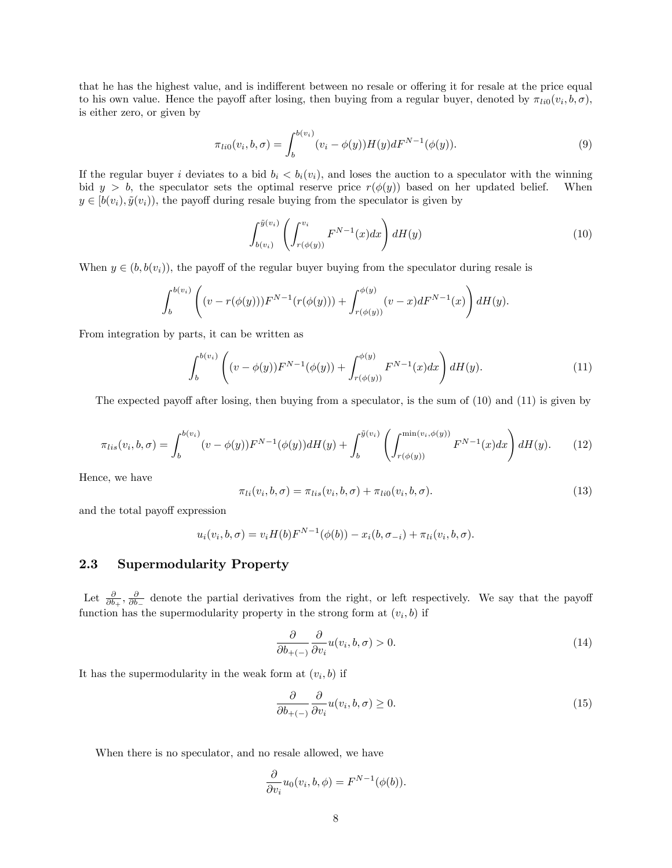that he has the highest value, and is indifferent between no resale or offering it for resale at the price equal to his own value. Hence the payoff after losing, then buying from a regular buyer, denoted by  $\pi_{li0}(v_i, b, \sigma)$ , is either zero, or given by

$$
\pi_{li0}(v_i, b, \sigma) = \int_b^{b(v_i)} (v_i - \phi(y)) H(y) dF^{N-1}(\phi(y)).
$$
\n(9)

If the regular buyer i deviates to a bid  $b_i < b_i(v_i)$ , and loses the auction to a speculator with the winning bid  $y > b$ , the speculator sets the optimal reserve price  $r(\phi(y))$  based on her updated belief. When  $y \in [b(v_i), \tilde{y}(v_i))$ , the payoff during resale buying from the speculator is given by

$$
\int_{b(v_i)}^{\tilde{y}(v_i)} \left( \int_{r(\phi(y))}^{v_i} F^{N-1}(x) dx \right) dH(y) \tag{10}
$$

When  $y \in (b, b(v_i))$ , the payoff of the regular buyer buying from the speculator during resale is

$$
\int_{b}^{b(v_i)} \left( (v - r(\phi(y))) F^{N-1}(r(\phi(y))) + \int_{r(\phi(y))}^{\phi(y)} (v - x) dF^{N-1}(x) \right) dH(y).
$$

From integration by parts, it can be written as

$$
\int_{b}^{b(v_i)} \left( (v - \phi(y)) F^{N-1}(\phi(y)) + \int_{r(\phi(y))}^{\phi(y)} F^{N-1}(x) dx \right) dH(y).
$$
\n(11)

The expected payoff after losing, then buying from a speculator, is the sum of  $(10)$  and  $(11)$  is given by

$$
\pi_{lis}(v_i, b, \sigma) = \int_b^{b(v_i)} (v - \phi(y)) F^{N-1}(\phi(y)) dH(y) + \int_b^{\tilde{y}(v_i)} \left( \int_{r(\phi(y))}^{\min(v_i, \phi(y))} F^{N-1}(x) dx \right) dH(y). \tag{12}
$$

Hence, we have

$$
\pi_{li}(v_i, b, \sigma) = \pi_{lis}(v_i, b, \sigma) + \pi_{li0}(v_i, b, \sigma).
$$
\n(13)

and the total payoff expression

$$
u_i(v_i, b, \sigma) = v_i H(b) F^{N-1}(\phi(b)) - x_i(b, \sigma_{-i}) + \pi_{li}(v_i, b, \sigma).
$$

### 2.3 Supermodularity Property

Let  $\frac{\partial}{\partial b_+}, \frac{\partial}{\partial b_-}$  denote the partial derivatives from the right, or left respectively. We say that the payoff function has the supermodularity property in the strong form at  $(v_i, b)$  if

$$
\frac{\partial}{\partial b_{+(-)}} \frac{\partial}{\partial v_i} u(v_i, b, \sigma) > 0.
$$
\n(14)

It has the supermodularity in the weak form at  $(v_i, b)$  if

$$
\frac{\partial}{\partial b_{+(-)}} \frac{\partial}{\partial v_i} u(v_i, b, \sigma) \ge 0.
$$
\n(15)

When there is no speculator, and no resale allowed, we have

$$
\frac{\partial}{\partial v_i}u_0(v_i, b, \phi) = F^{N-1}(\phi(b)).
$$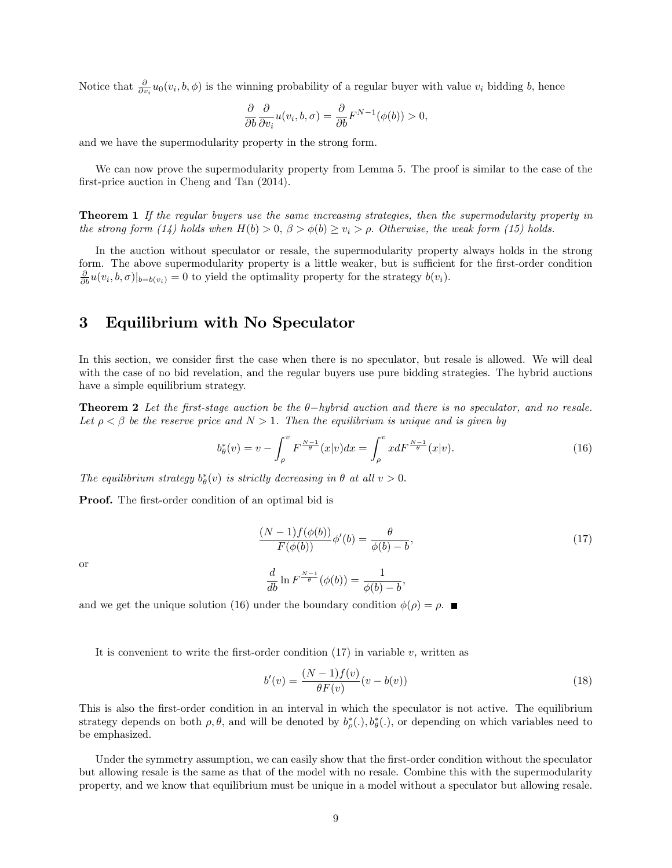Notice that  $\frac{\partial}{\partial v_i} u_0(v_i, b, \phi)$  is the winning probability of a regular buyer with value  $v_i$  bidding b, hence

$$
\frac{\partial}{\partial b} \frac{\partial}{\partial v_i} u(v_i, b, \sigma) = \frac{\partial}{\partial b} F^{N-1}(\phi(b)) > 0,
$$

and we have the supermodularity property in the strong form.

We can now prove the supermodularity property from Lemma 5. The proof is similar to the case of the first-price auction in Cheng and Tan  $(2014)$ .

**Theorem 1** If the regular buyers use the same increasing strategies, then the supermodularity property in the strong form (14) holds when  $H(b) > 0$ ,  $\beta > \phi(b) \ge v_i > \rho$ . Otherwise, the weak form (15) holds.

In the auction without speculator or resale, the supermodularity property always holds in the strong form. The above supermodularity property is a little weaker, but is sufficient for the first-order condition  $\frac{\partial}{\partial b}u(v_i, b, \sigma)|_{b=b(v_i)} = 0$  to yield the optimality property for the strategy  $b(v_i)$ .

### 3 Equilibrium with No Speculator

In this section, we consider first the case when there is no speculator, but resale is allowed. We will deal with the case of no bid revelation, and the regular buyers use pure bidding strategies. The hybrid auctions have a simple equilibrium strategy.

**Theorem 2** Let the first-stage auction be the  $\theta$ -hybrid auction and there is no speculator, and no resale. Let  $\rho < \beta$  be the reserve price and  $N > 1$ . Then the equilibrium is unique and is given by

$$
b_{\theta}^{*}(v) = v - \int_{\rho}^{v} F^{\frac{N-1}{\theta}}(x|v) dx = \int_{\rho}^{v} x dF^{\frac{N-1}{\theta}}(x|v).
$$
 (16)

The equilibrium strategy  $b^*_{\theta}(v)$  is strictly decreasing in  $\theta$  at all  $v > 0$ .

**Proof.** The first-order condition of an optimal bid is

$$
\frac{(N-1)f(\phi(b))}{F(\phi(b))}\phi'(b) = \frac{\theta}{\phi(b)-b},
$$
\n
$$
\frac{d}{db}\ln F^{\frac{N-1}{\theta}}(\phi(b)) = \frac{1}{\phi(b)-b},
$$
\n(17)

or

$$
\frac{d}{db}\ln F^{\frac{N-1}{\theta}}(\phi(b)) = \frac{1}{\phi(b)-b},
$$

and we get the unique solution (16) under the boundary condition  $\phi(\rho) = \rho$ .

It is convenient to write the first-order condition  $(17)$  in variable v, written as

$$
b'(v) = \frac{(N-1)f(v)}{\theta F(v)}(v - b(v))
$$
\n(18)

This is also the first-order condition in an interval in which the speculator is not active. The equilibrium strategy depends on both  $\rho$ ,  $\theta$ , and will be denoted by  $b^*_{\rho}(.), b^*_{\theta}(.),$  or depending on which variables need to be emphasized.

Under the symmetry assumption, we can easily show that the first-order condition without the speculator but allowing resale is the same as that of the model with no resale. Combine this with the supermodularity property, and we know that equilibrium must be unique in a model without a speculator but allowing resale.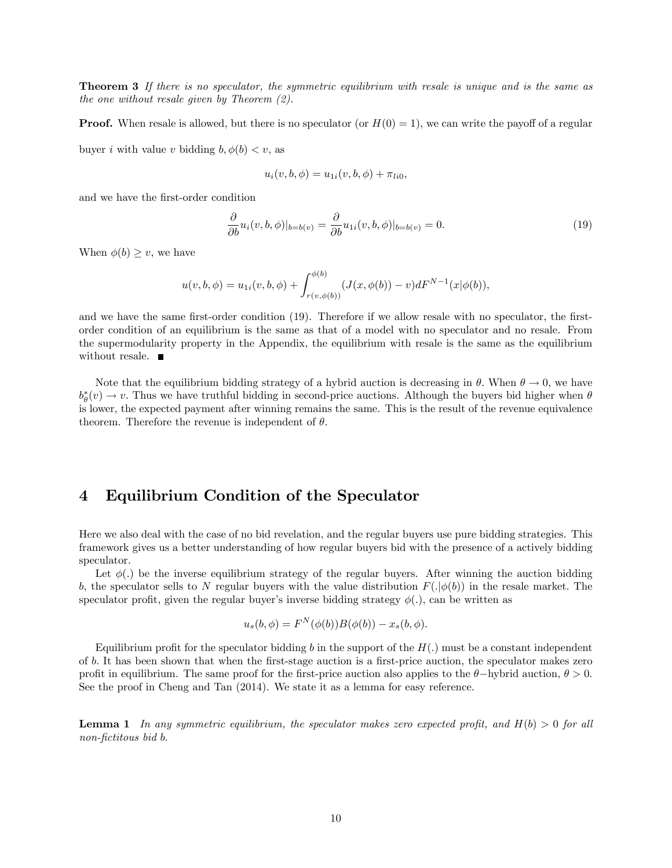Theorem 3 If there is no speculator, the symmetric equilibrium with resale is unique and is the same as the one without resale given by Theorem (2).

**Proof.** When resale is allowed, but there is no speculator (or  $H(0) = 1$ ), we can write the payoff of a regular

buyer i with value v bidding  $b, \phi(b) < v$ , as

$$
u_i(v, b, \phi) = u_{1i}(v, b, \phi) + \pi_{li0},
$$

and we have the first-order condition

$$
\frac{\partial}{\partial b}u_i(v, b, \phi)|_{b=b(v)} = \frac{\partial}{\partial b}u_{1i}(v, b, \phi)|_{b=b(v)} = 0.
$$
\n(19)

When  $\phi(b) \geq v$ , we have

$$
u(v, b, \phi) = u_{1i}(v, b, \phi) + \int_{r(v, \phi(b))}^{\phi(b)} (J(x, \phi(b)) - v) dF^{N-1}(x|\phi(b)),
$$

and we have the same first-order condition (19). Therefore if we allow resale with no speculator, the firstorder condition of an equilibrium is the same as that of a model with no speculator and no resale. From the supermodularity property in the Appendix, the equilibrium with resale is the same as the equilibrium without resale.  $\blacksquare$ 

Note that the equilibrium bidding strategy of a hybrid auction is decreasing in  $\theta$ . When  $\theta \to 0$ , we have  $b_{\theta}^{*}(v) \to v$ . Thus we have truthful bidding in second-price auctions. Although the buyers bid higher when  $\theta$ is lower, the expected payment after winning remains the same. This is the result of the revenue equivalence theorem. Therefore the revenue is independent of  $\theta$ .

# 4 Equilibrium Condition of the Speculator

Here we also deal with the case of no bid revelation, and the regular buyers use pure bidding strategies. This framework gives us a better understanding of how regular buyers bid with the presence of a actively bidding speculator.

Let  $\phi(.)$  be the inverse equilibrium strategy of the regular buyers. After winning the auction bidding b, the speculator sells to N regular buyers with the value distribution  $F(.|\phi(b))$  in the resale market. The speculator profit, given the regular buyer's inverse bidding strategy  $\phi(.)$ , can be written as

$$
u_s(b, \phi) = F^N(\phi(b))B(\phi(b)) - x_s(b, \phi).
$$

Equilibrium profit for the speculator bidding b in the support of the  $H(.)$  must be a constant independent of b. It has been shown that when the first-stage auction is a first-price auction, the speculator makes zero profit in equilibrium. The same proof for the first-price auction also applies to the  $\theta$ -hybrid auction,  $\theta > 0$ . See the proof in Cheng and Tan (2014). We state it as a lemma for easy reference.

**Lemma 1** In any symmetric equilibrium, the speculator makes zero expected profit, and  $H(b) > 0$  for all non-fictitous bid b.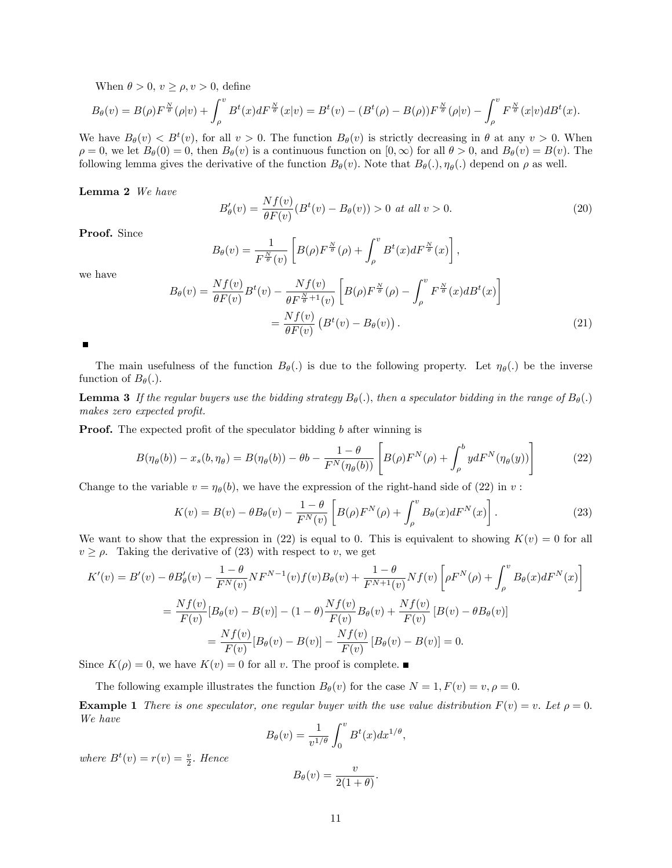When  $\theta > 0$ ,  $v \ge \rho$ ,  $v > 0$ , define

$$
B_{\theta}(v) = B(\rho)F^{\frac{N}{\theta}}(\rho|v) + \int_{\rho}^{v} B^{t}(x)dF^{\frac{N}{\theta}}(x|v) = B^{t}(v) - (B^{t}(\rho) - B(\rho))F^{\frac{N}{\theta}}(\rho|v) - \int_{\rho}^{v} F^{\frac{N}{\theta}}(x|v)dB^{t}(x).
$$

We have  $B_{\theta}(v) < B^{t}(v)$ , for all  $v > 0$ . The function  $B_{\theta}(v)$  is strictly decreasing in  $\theta$  at any  $v > 0$ . When  $\rho = 0$ , we let  $B_{\theta}(0) = 0$ , then  $B_{\theta}(v)$  is a continuous function on  $[0, \infty)$  for all  $\theta > 0$ , and  $B_{\theta}(v) = B(v)$ . The following lemma gives the derivative of the function  $B_{\theta}(v)$ . Note that  $B_{\theta}(.)$ ,  $\eta_{\theta}(.)$  depend on  $\rho$  as well.

Lemma 2 We have

$$
B'_{\theta}(v) = \frac{Nf(v)}{\theta F(v)} (B^t(v) - B_{\theta}(v)) > 0 \text{ at all } v > 0.
$$
 (20)

Proof. Since

$$
B_{\theta}(v) = \frac{1}{F^{\frac{N}{\theta}}(v)} \left[ B(\rho) F^{\frac{N}{\theta}}(\rho) + \int_{\rho}^{v} B^t(x) dF^{\frac{N}{\theta}}(x) \right],
$$

we have

$$
B_{\theta}(v) = \frac{Nf(v)}{\theta F(v)} B^t(v) - \frac{Nf(v)}{\theta F^{\frac{N}{\theta}+1}(v)} \left[ B(\rho) F^{\frac{N}{\theta}}(\rho) - \int_{\rho}^v F^{\frac{N}{\theta}}(x) dB^t(x) \right]
$$
  

$$
= \frac{Nf(v)}{\theta F(v)} \left( B^t(v) - B_{\theta}(v) \right). \tag{21}
$$

The main usefulness of the function  $B_{\theta}(.)$  is due to the following property. Let  $\eta_{\theta}(.)$  be the inverse function of  $B_{\theta}$ (.).

**Lemma 3** If the regular buyers use the bidding strategy  $B_{\theta}(.)$ , then a speculator bidding in the range of  $B_{\theta}(.)$ makes zero expected profit.

**Proof.** The expected profit of the speculator bidding  $b$  after winning is

$$
B(\eta_{\theta}(b)) - x_s(b, \eta_{\theta}) = B(\eta_{\theta}(b)) - \theta b - \frac{1 - \theta}{F^N(\eta_{\theta}(b))} \left[ B(\rho) F^N(\rho) + \int_{\rho}^b y dF^N(\eta_{\theta}(y)) \right]
$$
(22)

Change to the variable  $v = \eta_{\theta}(b)$ , we have the expression of the right-hand side of (22) in v:

$$
K(v) = B(v) - \theta B_{\theta}(v) - \frac{1 - \theta}{F^N(v)} \left[ B(\rho) F^N(\rho) + \int_{\rho}^v B_{\theta}(x) dF^N(x) \right].
$$
 (23)

We want to show that the expression in (22) is equal to 0. This is equivalent to showing  $K(v) = 0$  for all  $v \ge \rho$ . Taking the derivative of (23) with respect to v, we get

$$
K'(v) = B'(v) - \theta B'_{\theta}(v) - \frac{1-\theta}{F^N(v)} N F^{N-1}(v) f(v) B_{\theta}(v) + \frac{1-\theta}{F^{N+1}(v)} N f(v) \left[ \rho F^N(\rho) + \int_{\rho}^v B_{\theta}(x) dF^N(x) \right]
$$
  

$$
= \frac{Nf(v)}{F(v)} [B_{\theta}(v) - B(v)] - (1-\theta) \frac{Nf(v)}{F(v)} B_{\theta}(v) + \frac{Nf(v)}{F(v)} [B(v) - \theta B_{\theta}(v)]
$$
  

$$
= \frac{Nf(v)}{F(v)} [B_{\theta}(v) - B(v)] - \frac{Nf(v)}{F(v)} [B_{\theta}(v) - B(v)] = 0.
$$

Since  $K(\rho) = 0$ , we have  $K(v) = 0$  for all v. The proof is complete.

The following example illustrates the function  $B_{\theta}(v)$  for the case  $N = 1, F(v) = v, \rho = 0$ .

**Example 1** There is one speculator, one regular buyer with the use value distribution  $F(v) = v$ . Let  $\rho = 0$ . We have

$$
B_{\theta}(v) = \frac{1}{v^{1/\theta}} \int_0^v B^t(x) dx^{1/\theta},
$$

where  $B^t(v) = r(v) = \frac{v}{2}$ . Hence

$$
B_{\theta}(v) = \frac{v}{2(1+\theta)}.
$$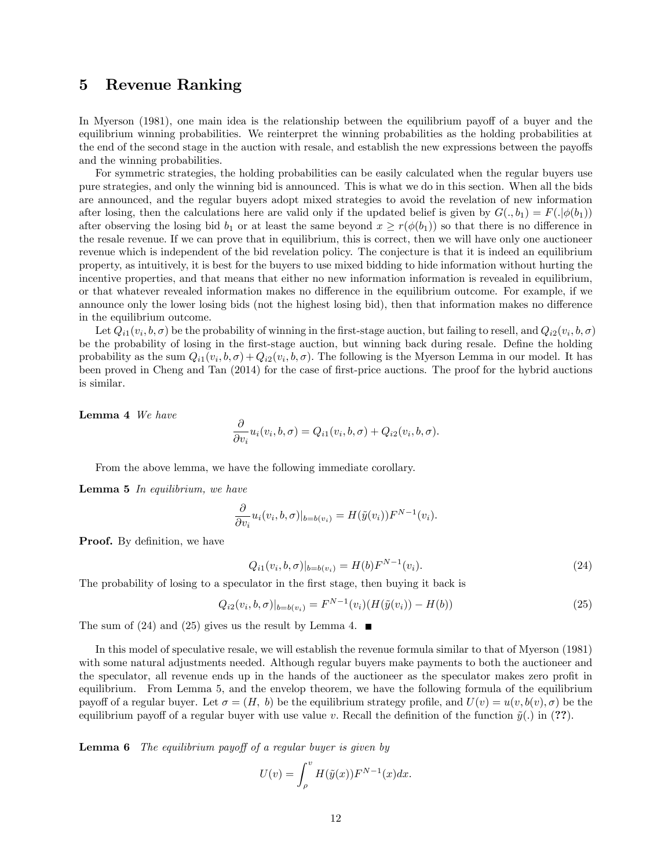### 5 Revenue Ranking

In Myerson (1981), one main idea is the relationship between the equilibrium payoff of a buyer and the equilibrium winning probabilities. We reinterpret the winning probabilities as the holding probabilities at the end of the second stage in the auction with resale, and establish the new expressions between the payoffs and the winning probabilities.

For symmetric strategies, the holding probabilities can be easily calculated when the regular buyers use pure strategies, and only the winning bid is announced. This is what we do in this section. When all the bids are announced, and the regular buyers adopt mixed strategies to avoid the revelation of new information after losing, then the calculations here are valid only if the updated belief is given by  $G(.,b_1) = F(.\vert \phi(b_1))$ after observing the losing bid  $b_1$  or at least the same beyond  $x \geq r(\phi(b_1))$  so that there is no difference in the resale revenue: If we can prove that in equilibrium, this is correct, then we will have only one auctioneer revenue which is independent of the bid revelation policy. The conjecture is that it is indeed an equilibrium property, as intuitively, it is best for the buyers to use mixed bidding to hide information without hurting the incentive properties, and that means that either no new information information is revealed in equilibrium, or that whatever revealed information makes no difference in the equilibrium outcome. For example, if we announce only the lower losing bids (not the highest losing bid), then that information makes no difference in the equilibrium outcome.

Let  $Q_{i1}(v_i, b, \sigma)$  be the probability of winning in the first-stage auction, but failing to resell, and  $Q_{i2}(v_i, b, \sigma)$ be the probability of losing in the first-stage auction, but winning back during resale. Define the holding probability as the sum  $Q_{i1}(v_i, b, \sigma) + Q_{i2}(v_i, b, \sigma)$ . The following is the Myerson Lemma in our model. It has been proved in Cheng and Tan (2014) for the case of first-price auctions. The proof for the hybrid auctions is similar.

Lemma 4 We have

$$
\frac{\partial}{\partial v_i}u_i(v_i, b, \sigma) = Q_{i1}(v_i, b, \sigma) + Q_{i2}(v_i, b, \sigma).
$$

From the above lemma, we have the following immediate corollary.

**Lemma 5** In equilibrium, we have

$$
\frac{\partial}{\partial v_i} u_i(v_i, b, \sigma)|_{b = b(v_i)} = H(\tilde{y}(v_i))F^{N-1}(v_i).
$$

**Proof.** By definition, we have

$$
Q_{i1}(v_i, b, \sigma)|_{b=b(v_i)} = H(b)F^{N-1}(v_i). \tag{24}
$$

The probability of losing to a speculator in the first stage, then buying it back is

$$
Q_{i2}(v_i, b, \sigma)|_{b=b(v_i)} = F^{N-1}(v_i)(H(\tilde{y}(v_i)) - H(b))
$$
\n(25)

The sum of (24) and (25) gives us the result by Lemma 4.

In this model of speculative resale, we will establish the revenue formula similar to that of Myerson (1981) with some natural adjustments needed. Although regular buyers make payments to both the auctioneer and the speculator, all revenue ends up in the hands of the auctioneer as the speculator makes zero profit in equilibrium. From Lemma 5, and the envelop theorem, we have the following formula of the equilibrium payoff of a regular buyer. Let  $\sigma = (H, b)$  be the equilibrium strategy profile, and  $U(v) = u(v, b(v), \sigma)$  be the equilibrium payoff of a regular buyer with use value v. Recall the definition of the function  $\tilde{y}(.)$  in (??).

**Lemma 6** The equilibrium payoff of a regular buyer is given by

$$
U(v) = \int_{\rho}^{v} H(\tilde{y}(x)) F^{N-1}(x) dx.
$$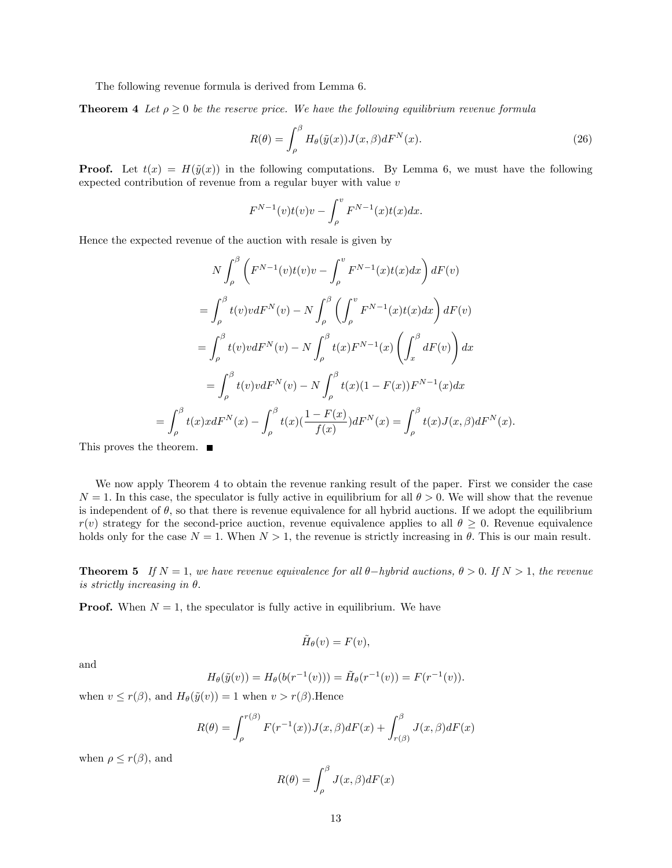The following revenue formula is derived from Lemma 6.

**Theorem 4** Let  $\rho \geq 0$  be the reserve price. We have the following equilibrium revenue formula

$$
R(\theta) = \int_{\rho}^{\beta} H_{\theta}(\tilde{y}(x)) J(x, \beta) dF^{N}(x).
$$
\n(26)

**Proof.** Let  $t(x) = H(\tilde{y}(x))$  in the following computations. By Lemma 6, we must have the following expected contribution of revenue from a regular buyer with value v

$$
F^{N-1}(v)t(v)v - \int_{\rho}^{v} F^{N-1}(x)t(x)dx.
$$

Hence the expected revenue of the auction with resale is given by

$$
N \int_{\rho}^{\beta} \left( F^{N-1}(v)t(v)v - \int_{\rho}^{v} F^{N-1}(x)t(x)dx \right) dF(v)
$$
  
\n
$$
= \int_{\rho}^{\beta} t(v)v dF^{N}(v) - N \int_{\rho}^{\beta} \left( \int_{\rho}^{v} F^{N-1}(x)t(x)dx \right) dF(v)
$$
  
\n
$$
= \int_{\rho}^{\beta} t(v)v dF^{N}(v) - N \int_{\rho}^{\beta} t(x)F^{N-1}(x) \left( \int_{x}^{\beta} dF(v) \right) dx
$$
  
\n
$$
= \int_{\rho}^{\beta} t(v)v dF^{N}(v) - N \int_{\rho}^{\beta} t(x) (1 - F(x))F^{N-1}(x) dx
$$
  
\n
$$
\int_{\rho}^{\beta} t(x)xdF^{N}(x) - \int_{\rho}^{\beta} t(x) \left( \frac{1 - F(x)}{f(x)} \right) dF^{N}(x) = \int_{\rho}^{\beta} t(x)J(x,\beta) dF^{N}(x).
$$

This proves the theorem. ■

=

We now apply Theorem 4 to obtain the revenue ranking result of the paper. First we consider the case  $N = 1$ . In this case, the speculator is fully active in equilibrium for all  $\theta > 0$ . We will show that the revenue is independent of  $\theta$ , so that there is revenue equivalence for all hybrid auctions. If we adopt the equilibrium  $r(v)$  strategy for the second-price auction, revenue equivalence applies to all  $\theta \geq 0$ . Revenue equivalence holds only for the case  $N = 1$ . When  $N > 1$ , the revenue is strictly increasing in  $\theta$ . This is our main result.

**Theorem 5** If  $N = 1$ , we have revenue equivalence for all  $\theta$ -hybrid auctions,  $\theta > 0$ . If  $N > 1$ , the revenue is strictly increasing in  $\theta$ .

**Proof.** When  $N = 1$ , the speculator is fully active in equilibrium. We have

$$
\tilde{H}_{\theta}(v) = F(v),
$$

and

$$
H_{\theta}(\tilde{y}(v)) = H_{\theta}(b(r^{-1}(v))) = \tilde{H}_{\theta}(r^{-1}(v)) = F(r^{-1}(v)).
$$

when  $v \leq r(\beta)$ , and  $H_{\theta}(\tilde{y}(v)) = 1$  when  $v > r(\beta)$ . Hence

$$
R(\theta) = \int_{\rho}^{r(\beta)} F(r^{-1}(x))J(x,\beta)dF(x) + \int_{r(\beta)}^{\beta} J(x,\beta)dF(x)
$$

when  $\rho \leq r(\beta)$ , and

$$
R(\theta) = \int_{\rho}^{\beta} J(x,\beta)dF(x)
$$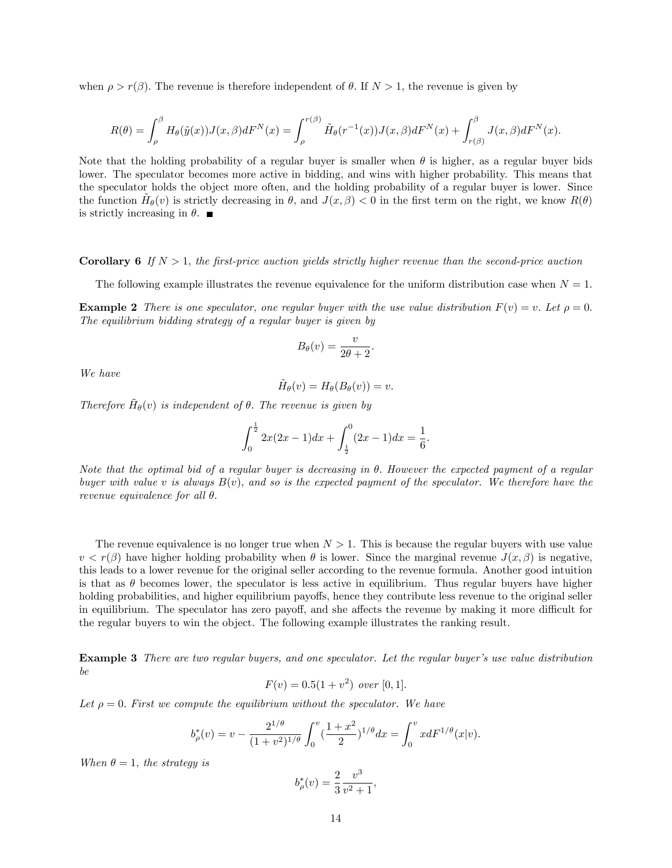when  $\rho > r(\beta)$ . The revenue is therefore independent of  $\theta$ . If  $N > 1$ , the revenue is given by

$$
R(\theta) = \int_{\rho}^{\beta} H_{\theta}(\tilde{y}(x))J(x,\beta)dF^N(x) = \int_{\rho}^{r(\beta)} \tilde{H}_{\theta}(r^{-1}(x))J(x,\beta)dF^N(x) + \int_{r(\beta)}^{\beta} J(x,\beta)dF^N(x).
$$

Note that the holding probability of a regular buyer is smaller when  $\theta$  is higher, as a regular buyer bids lower. The speculator becomes more active in bidding, and wins with higher probability. This means that the speculator holds the object more often, and the holding probability of a regular buyer is lower. Since the function  $\tilde{H}_{\theta}(v)$  is strictly decreasing in  $\theta$ , and  $J(x,\beta) < 0$  in the first term on the right, we know  $R(\theta)$ is strictly increasing in  $\theta$ .

#### **Corollary 6** If  $N > 1$ , the first-price auction yields strictly higher revenue than the second-price auction

The following example illustrates the revenue equivalence for the uniform distribution case when  $N = 1$ .

**Example 2** There is one speculator, one regular buyer with the use value distribution  $F(v) = v$ . Let  $\rho = 0$ . The equilibrium bidding strategy of a regular buyer is given by

$$
B_{\theta}(v) = \frac{v}{2\theta + 2}
$$

:

We have

$$
\tilde{H}_{\theta}(v) = H_{\theta}(B_{\theta}(v)) = v.
$$

Therefore  $\tilde{H}_{\theta}(v)$  is independent of  $\theta$ . The revenue is given by

$$
\int_0^{\frac{1}{2}} 2x(2x-1)dx + \int_{\frac{1}{2}}^0 (2x-1)dx = \frac{1}{6}.
$$

Note that the optimal bid of a regular buyer is decreasing in  $\theta$ . However the expected payment of a regular buyer with value v is always  $B(v)$ , and so is the expected payment of the speculator. We therefore have the revenue equivalence for all  $\theta$ .

The revenue equivalence is no longer true when  $N > 1$ . This is because the regular buyers with use value  $v < r(\beta)$  have higher holding probability when  $\theta$  is lower. Since the marginal revenue  $J(x, \beta)$  is negative, this leads to a lower revenue for the original seller according to the revenue formula. Another good intuition is that as  $\theta$  becomes lower, the speculator is less active in equilibrium. Thus regular buyers have higher holding probabilities, and higher equilibrium payoffs, hence they contribute less revenue to the original seller in equilibrium. The speculator has zero payoff, and she affects the revenue by making it more difficult for the regular buyers to win the object. The following example illustrates the ranking result.

**Example 3** There are two regular buyers, and one speculator. Let the regular buyer's use value distribution be

$$
F(v) = 0.5(1 + v^2) \text{ over } [0, 1].
$$

Let  $\rho = 0$ . First we compute the equilibrium without the speculator. We have

$$
b_{\rho}^*(v) = v - \frac{2^{1/\theta}}{(1+v^2)^{1/\theta}} \int_0^v \left(\frac{1+x^2}{2}\right)^{1/\theta} dx = \int_0^v x dF^{1/\theta}(x|v).
$$

When  $\theta = 1$ , the strategy is

$$
b_{\rho}^*(v) = \frac{2}{3} \frac{v^3}{v^2 + 1},
$$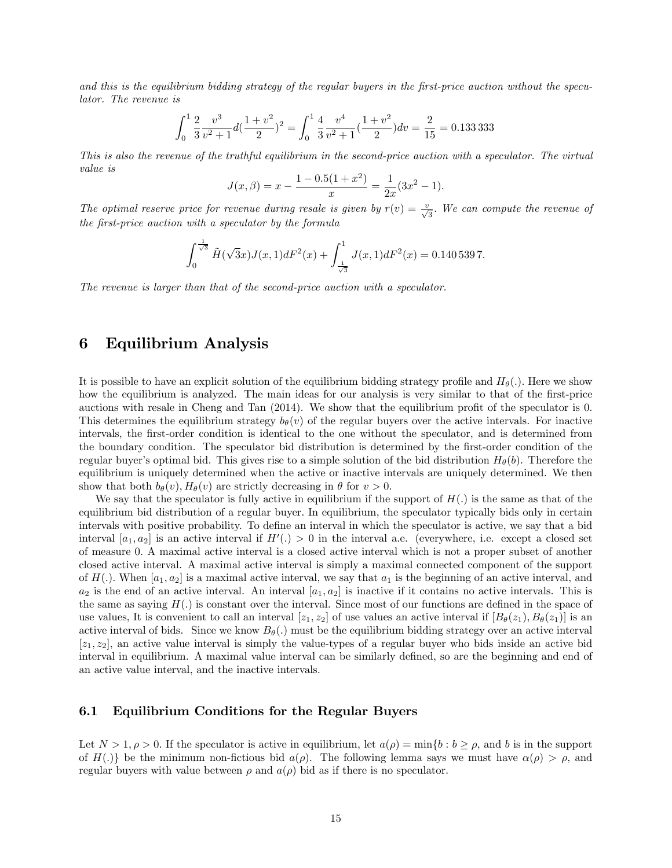and this is the equilibrium bidding strategy of the regular buyers in the first-price auction without the speculator. The revenue is

$$
\int_0^1 \frac{2}{3} \frac{v^3}{v^2 + 1} d(\frac{1 + v^2}{2})^2 = \int_0^1 \frac{4}{3} \frac{v^4}{v^2 + 1} (\frac{1 + v^2}{2}) dv = \frac{2}{15} = 0.1333333
$$

This is also the revenue of the truthful equilibrium in the second-price auction with a speculator. The virtual value is

$$
J(x, \beta) = x - \frac{1 - 0.5(1 + x^2)}{x} = \frac{1}{2x}(3x^2 - 1).
$$

The optimal reserve price for revenue during resale is given by  $r(v) = \frac{v}{\sqrt{3}}$ . We can compute the revenue of the first-price auction with a speculator by the formula

$$
\int_0^{\frac{1}{\sqrt{3}}} \tilde{H}(\sqrt{3}x)J(x,1)dF^2(x) + \int_{\frac{1}{\sqrt{3}}}^1 J(x,1)dF^2(x) = 0.140\,539\,7.
$$

The revenue is larger than that of the second-price auction with a speculator.

# 6 Equilibrium Analysis

It is possible to have an explicit solution of the equilibrium bidding strategy profile and  $H_{\theta}(.)$ . Here we show how the equilibrium is analyzed. The main ideas for our analysis is very similar to that of the first-price auctions with resale in Cheng and Tan  $(2014)$ . We show that the equilibrium profit of the speculator is 0. This determines the equilibrium strategy  $b_{\theta}(v)$  of the regular buyers over the active intervals. For inactive intervals, the first-order condition is identical to the one without the speculator, and is determined from the boundary condition. The speculator bid distribution is determined by the Örst-order condition of the regular buyer's optimal bid. This gives rise to a simple solution of the bid distribution  $H_{\theta}(b)$ . Therefore the equilibrium is uniquely determined when the active or inactive intervals are uniquely determined. We then show that both  $b_{\theta}(v)$ ,  $H_{\theta}(v)$  are strictly decreasing in  $\theta$  for  $v > 0$ .

We say that the speculator is fully active in equilibrium if the support of  $H(.)$  is the same as that of the equilibrium bid distribution of a regular buyer: In equilibrium, the speculator typically bids only in certain intervals with positive probability. To define an interval in which the speculator is active, we say that a bid interval  $[a_1, a_2]$  is an active interval if  $H'(.) > 0$  in the interval a.e. (everywhere, i.e. except a closed set of measure 0: A maximal active interval is a closed active interval which is not a proper subset of another closed active interval. A maximal active interval is simply a maximal connected component of the support of  $H(.)$ . When  $[a_1, a_2]$  is a maximal active interval, we say that  $a_1$  is the beginning of an active interval, and  $a_2$  is the end of an active interval. An interval  $[a_1, a_2]$  is inactive if it contains no active intervals. This is the same as saying  $H(.)$  is constant over the interval. Since most of our functions are defined in the space of use values, It is convenient to call an interval  $[z_1, z_2]$  of use values an active interval if  $[B_\theta(z_1), B_\theta(z_1)]$  is an active interval of bids. Since we know  $B_{\theta}(.)$  must be the equilibrium bidding strategy over an active interval  $[z_1, z_2]$ , an active value interval is simply the value-types of a regular buyer who bids inside an active bid interval in equilibrium. A maximal value interval can be similarly defined, so are the beginning and end of an active value interval, and the inactive intervals.

### 6.1 Equilibrium Conditions for the Regular Buyers

Let  $N > 1, \rho > 0$ . If the speculator is active in equilibrium, let  $a(\rho) = \min\{b : b \ge \rho, \text{ and } b \text{ is in the support }\}$ of H(.)] be the minimum non-fictious bid  $a(\rho)$ . The following lemma says we must have  $\alpha(\rho) > \rho$ , and regular buyers with value between  $\rho$  and  $a(\rho)$  bid as if there is no speculator.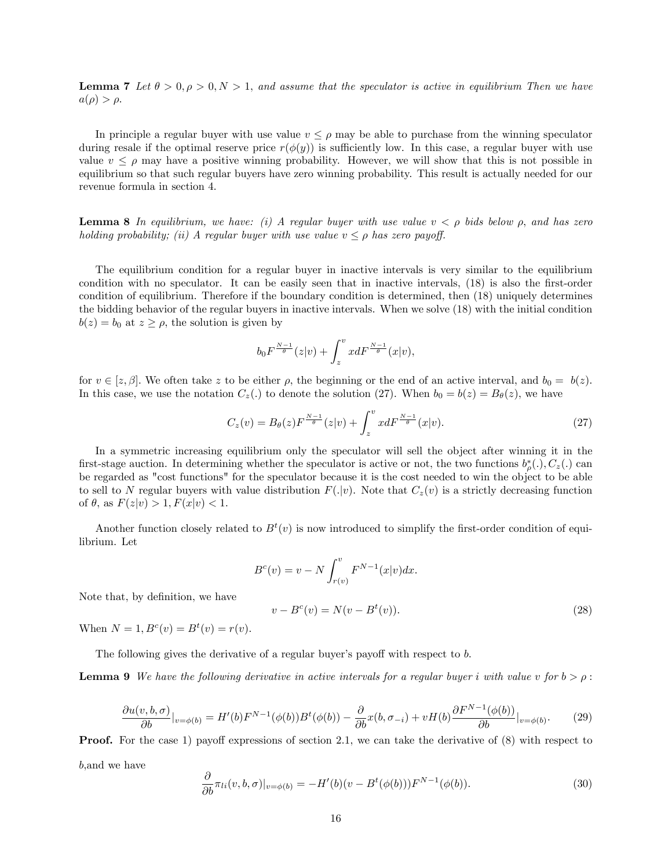**Lemma 7** Let  $\theta > 0, \rho > 0, N > 1$ , and assume that the speculator is active in equilibrium Then we have  $a(\rho) > \rho.$ 

In principle a regular buyer with use value  $v \leq \rho$  may be able to purchase from the winning speculator during resale if the optimal reserve price  $r(\phi(y))$  is sufficiently low. In this case, a regular buyer with use value  $v \leq \rho$  may have a positive winning probability. However, we will show that this is not possible in equilibrium so that such regular buyers have zero winning probability. This result is actually needed for our revenue formula in section 4.

**Lemma 8** In equilibrium, we have: (i) A regular buyer with use value  $v < \rho$  bids below  $\rho$ , and has zero holding probability; (ii) A regular buyer with use value  $v \leq \rho$  has zero payoff.

The equilibrium condition for a regular buyer in inactive intervals is very similar to the equilibrium condition with no speculator. It can be easily seen that in inactive intervals, (18) is also the first-order condition of equilibrium. Therefore if the boundary condition is determined, then (18) uniquely determines the bidding behavior of the regular buyers in inactive intervals. When we solve (18) with the initial condition  $b(z) = b_0$  at  $z \ge \rho$ , the solution is given by

$$
b_0 F^{\frac{N-1}{\theta}}(z|v) + \int_z^v x dF^{\frac{N-1}{\theta}}(x|v),
$$

for  $v \in [z, \beta]$ . We often take z to be either  $\rho$ , the beginning or the end of an active interval, and  $b_0 = b(z)$ . In this case, we use the notation  $C_z(.)$  to denote the solution (27). When  $b_0 = b(z) = B_{\theta}(z)$ , we have

$$
C_z(v) = B_{\theta}(z) F^{\frac{N-1}{\theta}}(z|v) + \int_z^v x dF^{\frac{N-1}{\theta}}(x|v).
$$
 (27)

In a symmetric increasing equilibrium only the speculator will sell the object after winning it in the first-stage auction. In determining whether the speculator is active or not, the two functions  $b^*_{\rho}(.), C_z(.)$  can be regarded as "cost functions" for the speculator because it is the cost needed to win the object to be able to sell to N regular buyers with value distribution  $F(|v)$ . Note that  $C_z(v)$  is a strictly decreasing function of  $\theta$ , as  $F(z|v) > 1, F(x|v) < 1.$ 

Another function closely related to  $B<sup>t</sup>(v)$  is now introduced to simplify the first-order condition of equilibrium. Let

$$
B^{c}(v) = v - N \int_{r(v)}^{v} F^{N-1}(x|v) dx.
$$
  

$$
v - B^{c}(v) = N(v - B^{t}(v)).
$$
 (28)

When  $N = 1, B<sup>c</sup>(v) = B<sup>t</sup>(v) = r(v)$ .

Note that, by definition, we have

The following gives the derivative of a regular buyer's payoff with respect to  $b$ .

**Lemma 9** We have the following derivative in active intervals for a regular buyer i with value v for  $b > \rho$ :

$$
\frac{\partial u(v,b,\sigma)}{\partial b}|_{v=\phi(b)} = H'(b)F^{N-1}(\phi(b))B^t(\phi(b)) - \frac{\partial}{\partial b}x(b,\sigma_{-i}) + vH(b)\frac{\partial F^{N-1}(\phi(b))}{\partial b}|_{v=\phi(b)}.\tag{29}
$$

**Proof.** For the case 1) payoff expressions of section 2.1, we can take the derivative of  $(8)$  with respect to

b;and we have

$$
\frac{\partial}{\partial b}\pi_{li}(v, b, \sigma)|_{v=\phi(b)} = -H'(b)(v - B^t(\phi(b)))F^{N-1}(\phi(b)).
$$
\n(30)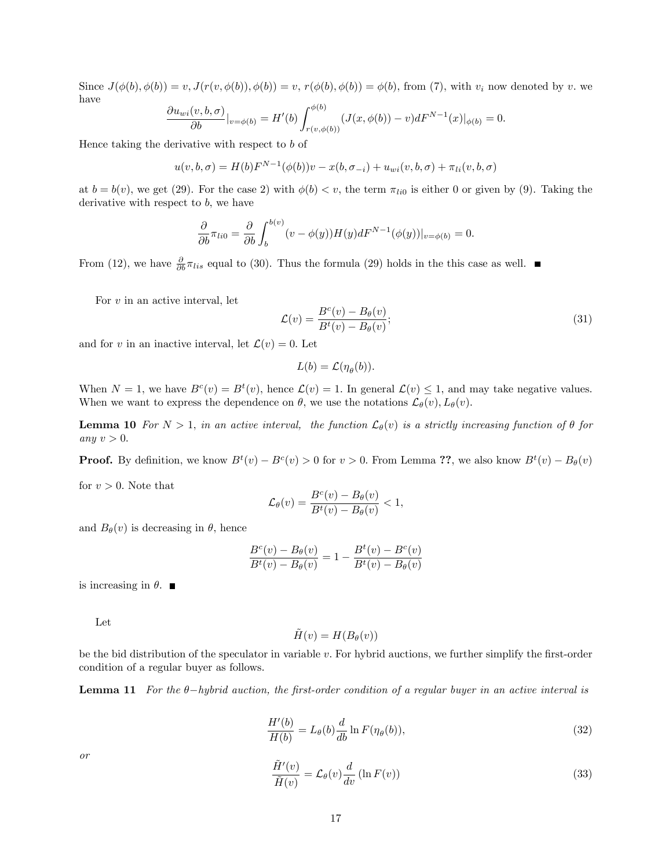Since  $J(\phi(b), \phi(b)) = v, J(r(v, \phi(b)), \phi(b)) = v, r(\phi(b), \phi(b)) = \phi(b)$ , from (7), with  $v_i$  now denoted by v. we have

$$
\frac{\partial u_{wi}(v, b, \sigma)}{\partial b}|_{v=\phi(b)} = H'(b) \int_{r(v, \phi(b))}^{\phi(b)} (J(x, \phi(b)) - v) dF^{N-1}(x)|_{\phi(b)} = 0.
$$

Hence taking the derivative with respect to b of

$$
u(v, b, \sigma) = H(b)F^{N-1}(\phi(b))v - x(b, \sigma_{-i}) + u_{wi}(v, b, \sigma) + \pi_{li}(v, b, \sigma)
$$

at  $b = b(v)$ , we get (29). For the case 2) with  $\phi(b) < v$ , the term  $\pi_{li0}$  is either 0 or given by (9). Taking the derivative with respect to  $b$ , we have

$$
\frac{\partial}{\partial b}\pi_{li0} = \frac{\partial}{\partial b}\int_b^{b(v)} (v - \phi(y))H(y)dF^{N-1}(\phi(y))|_{v = \phi(b)} = 0.
$$

From (12), we have  $\frac{\partial}{\partial b}\pi_{lis}$  equal to (30). Thus the formula (29) holds in the this case as well.

For  $v$  in an active interval, let

$$
\mathcal{L}(v) = \frac{B^c(v) - B_\theta(v)}{B^t(v) - B_\theta(v)};
$$
\n(31)

and for v in an inactive interval, let  $\mathcal{L}(v) = 0$ . Let

$$
L(b) = \mathcal{L}(\eta_{\theta}(b)).
$$

When  $N = 1$ , we have  $B^c(v) = B^t(v)$ , hence  $\mathcal{L}(v) = 1$ . In general  $\mathcal{L}(v) \leq 1$ , and may take negative values. When we want to express the dependence on  $\theta$ , we use the notations  $\mathcal{L}_{\theta}(v)$ ,  $L_{\theta}(v)$ .

**Lemma 10** For  $N > 1$ , in an active interval, the function  $\mathcal{L}_{\theta}(v)$  is a strictly increasing function of  $\theta$  for any  $v > 0$ .

**Proof.** By definition, we know  $B^t(v) - B^c(v) > 0$  for  $v > 0$ . From Lemma ??, we also know  $B^t(v) - B_{\theta}(v)$ for  $v > 0$ . Note that

$$
\mathcal{L}_{\theta}(v) = \frac{B^c(v) - B_{\theta}(v)}{B^t(v) - B_{\theta}(v)} < 1,
$$

and  $B_{\theta}(v)$  is decreasing in  $\theta$ , hence

$$
\frac{B^c(v) - B_\theta(v)}{B^t(v) - B_\theta(v)} = 1 - \frac{B^t(v) - B^c(v)}{B^t(v) - B_\theta(v)}
$$

is increasing in  $\theta$ .

Let

$$
\tilde{H}(v) = H(B_{\theta}(v))
$$

be the bid distribution of the speculator in variable  $v$ . For hybrid auctions, we further simplify the first-order condition of a regular buyer as follows.

**Lemma 11** For the  $\theta$ -hybrid auction, the first-order condition of a regular buyer in an active interval is

$$
\frac{H'(b)}{H(b)} = L_{\theta}(b)\frac{d}{db}\ln F(\eta_{\theta}(b)),\tag{32}
$$

or

$$
\frac{\tilde{H}'(v)}{\tilde{H}(v)} = \mathcal{L}_{\theta}(v)\frac{d}{dv}(\ln F(v))\tag{33}
$$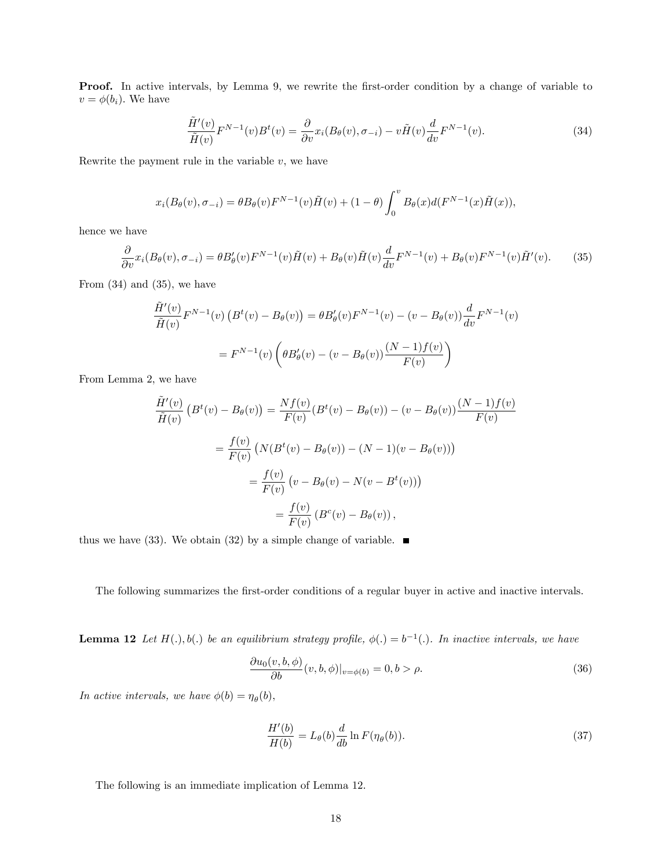**Proof.** In active intervals, by Lemma 9, we rewrite the first-order condition by a change of variable to  $v = \phi(b_i)$ . We have

$$
\frac{\tilde{H}'(v)}{\tilde{H}(v)}F^{N-1}(v)B^t(v) = \frac{\partial}{\partial v}x_i(B_\theta(v), \sigma_{-i}) - v\tilde{H}(v)\frac{d}{dv}F^{N-1}(v).
$$
\n(34)

Rewrite the payment rule in the variable  $v$ , we have

$$
x_i(B_{\theta}(v), \sigma_{-i}) = \theta B_{\theta}(v) F^{N-1}(v) \tilde{H}(v) + (1 - \theta) \int_0^v B_{\theta}(x) d(F^{N-1}(x) \tilde{H}(x)),
$$

hence we have

$$
\frac{\partial}{\partial v}x_i(B_\theta(v), \sigma_{-i}) = \theta B_\theta'(v)F^{N-1}(v)\tilde{H}(v) + B_\theta(v)\tilde{H}(v)\frac{d}{dv}F^{N-1}(v) + B_\theta(v)F^{N-1}(v)\tilde{H}'(v).
$$
 (35)

From  $(34)$  and  $(35)$ , we have

$$
\tilde{H}'(v) \overline{F}^{N-1}(v) \left( B^t(v) - B_\theta(v) \right) = \theta B_\theta'(v) F^{N-1}(v) - (v - B_\theta(v)) \frac{d}{dv} F^{N-1}(v)
$$
\n
$$
= F^{N-1}(v) \left( \theta B_\theta'(v) - (v - B_\theta(v)) \frac{(N-1)f(v)}{F(v)} \right)
$$

From Lemma 2, we have

$$
\frac{\tilde{H}'(v)}{\tilde{H}(v)} \left( B^t(v) - B_\theta(v) \right) = \frac{Nf(v)}{F(v)} (B^t(v) - B_\theta(v)) - (v - B_\theta(v)) \frac{(N-1)f(v)}{F(v)}
$$
\n
$$
= \frac{f(v)}{F(v)} \left( N(B^t(v) - B_\theta(v)) - (N-1)(v - B_\theta(v)) \right)
$$
\n
$$
= \frac{f(v)}{F(v)} \left( v - B_\theta(v) - N(v - B^t(v)) \right)
$$
\n
$$
= \frac{f(v)}{F(v)} \left( B^c(v) - B_\theta(v) \right),
$$

thus we have (33). We obtain (32) by a simple change of variable.  $\blacksquare$ 

The following summarizes the first-order conditions of a regular buyer in active and inactive intervals.

**Lemma 12** Let  $H(.)$ ,  $b(.)$  be an equilibrium strategy profile,  $\phi(.) = b^{-1}(.)$ . In inactive intervals, we have

$$
\frac{\partial u_0(v, b, \phi)}{\partial b}(v, b, \phi)|_{v = \phi(b)} = 0, b > \rho.
$$
\n(36)

In active intervals, we have  $\phi(b) = \eta_{\theta}(b)$ ,

$$
\frac{H'(b)}{H(b)} = L_{\theta}(b)\frac{d}{db}\ln F(\eta_{\theta}(b)).
$$
\n(37)

The following is an immediate implication of Lemma 12.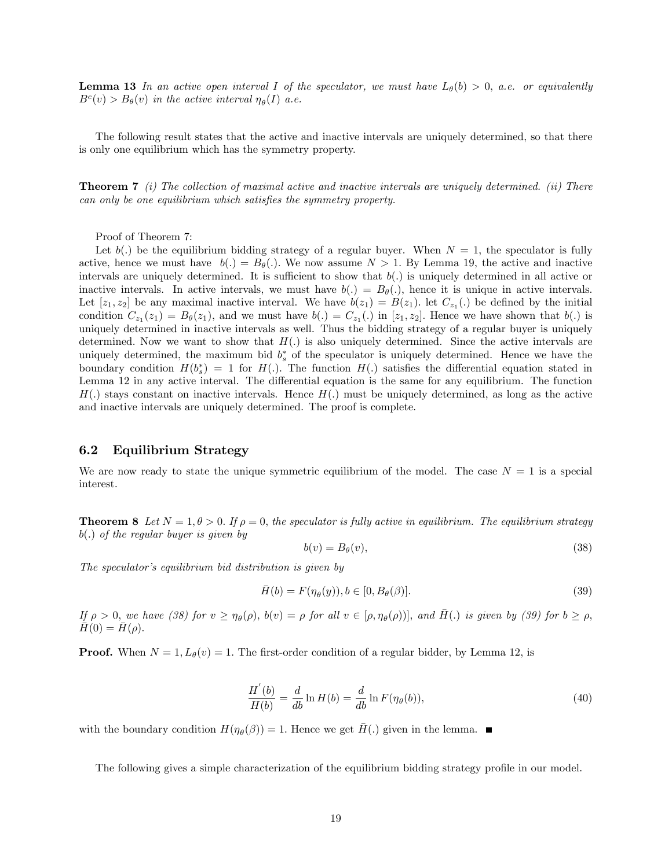**Lemma 13** In an active open interval I of the speculator, we must have  $L_{\theta}(b) > 0$ , a.e. or equivalently  $B<sup>c</sup>(v) > B<sub>\theta</sub>(v)$  in the active interval  $\eta_{\theta}(I)$  a.e.

The following result states that the active and inactive intervals are uniquely determined, so that there is only one equilibrium which has the symmetry property.

**Theorem 7** (i) The collection of maximal active and inactive intervals are uniquely determined. (ii) There can only be one equilibrium which satisfies the symmetry property.

Proof of Theorem 7:

Let  $b(.)$  be the equilibrium bidding strategy of a regular buyer. When  $N = 1$ , the speculator is fully active, hence we must have  $b(.) = B_{\theta}(.)$ . We now assume  $N > 1$ . By Lemma 19, the active and inactive intervals are uniquely determined. It is sufficient to show that  $b(.)$  is uniquely determined in all active or inactive intervals. In active intervals, we must have  $b(.) = B_{\theta}(.)$ , hence it is unique in active intervals. Let  $[z_1, z_2]$  be any maximal inactive interval. We have  $b(z_1) = B(z_1)$ . let  $C_{z_1}(.)$  be defined by the initial condition  $C_{z_1}(z_1) = B_{\theta}(z_1)$ , and we must have  $b(.) = C_{z_1}(.)$  in  $[z_1, z_2]$ . Hence we have shown that  $b(.)$  is uniquely determined in inactive intervals as well. Thus the bidding strategy of a regular buyer is uniquely determined. Now we want to show that  $H(.)$  is also uniquely determined. Since the active intervals are uniquely determined, the maximum bid  $b_s^*$  of the speculator is uniquely determined. Hence we have the boundary condition  $H(b_s^*) = 1$  for  $H(.)$ . The function  $H(.)$  satisfies the differential equation stated in Lemma 12 in any active interval. The differential equation is the same for any equilibrium. The function  $H(.)$  stays constant on inactive intervals. Hence  $H(.)$  must be uniquely determined, as long as the active and inactive intervals are uniquely determined. The proof is complete.

#### 6.2 Equilibrium Strategy

We are now ready to state the unique symmetric equilibrium of the model. The case  $N = 1$  is a special interest.

**Theorem 8** Let  $N = 1, \theta > 0$ . If  $\rho = 0$ , the speculator is fully active in equilibrium. The equilibrium strategy  $b(.)$  of the regular buyer is given by

$$
b(v) = B_{\theta}(v),\tag{38}
$$

The speculator's equilibrium bid distribution is given by

$$
\bar{H}(b) = F(\eta_{\theta}(y)), b \in [0, B_{\theta}(\beta)].
$$
\n(39)

If  $\rho > 0$ , we have (38) for  $v \ge \eta_\theta(\rho)$ ,  $b(v) = \rho$  for all  $v \in [\rho, \eta_\theta(\rho))]$ , and  $\overline{H}(.)$  is given by (39) for  $b \ge \rho$ ,  $H(0) = H(\rho).$ 

**Proof.** When  $N = 1$ ,  $L_{\theta}(v) = 1$ . The first-order condition of a regular bidder, by Lemma 12, is

$$
\frac{H'(b)}{H(b)} = \frac{d}{db}\ln H(b) = \frac{d}{db}\ln F(\eta_\theta(b)),\tag{40}
$$

with the boundary condition  $H(\eta_{\theta}(\beta)) = 1$ . Hence we get  $\bar{H}$ (.) given in the lemma.

The following gives a simple characterization of the equilibrium bidding strategy profile in our model.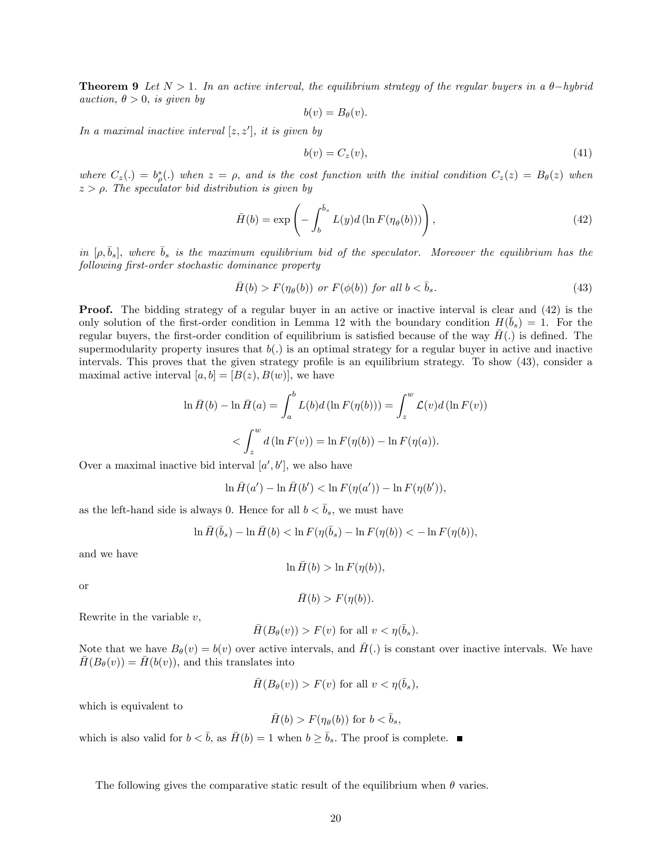**Theorem 9** Let  $N > 1$ . In an active interval, the equilibrium strategy of the regular buyers in a  $\theta$ -hybrid auction,  $\theta > 0$ , is given by

$$
b(v) = B_{\theta}(v).
$$

In a maximal inactive interval  $[z, z']$ , it is given by

$$
b(v) = C_z(v),\tag{41}
$$

where  $C_z(.) = b^*_{\rho}(.)$  when  $z = \rho$ , and is the cost function with the initial condition  $C_z(z) = B_{\theta}(z)$  when  $z > \rho$ . The speculator bid distribution is given by

$$
\bar{H}(b) = \exp\left(-\int_b^{\bar{b}_s} L(y)d\left(\ln F(\eta_\theta(b))\right)\right),\tag{42}
$$

in  $[\rho, \bar{b}_s]$ , where  $\bar{b}_s$  is the maximum equilibrium bid of the speculator. Moreover the equilibrium has the following first-order stochastic dominance property

$$
\bar{H}(b) > F(\eta_{\theta}(b)) \text{ or } F(\phi(b)) \text{ for all } b < \bar{b}_s. \tag{43}
$$

**Proof.** The bidding strategy of a regular buyer in an active or inactive interval is clear and (42) is the only solution of the first-order condition in Lemma 12 with the boundary condition  $H(\bar{b}_s) = 1$ . For the regular buyers, the first-order condition of equilibrium is satisfied because of the way  $H(.)$  is defined. The supermodularity property insures that  $b(.)$  is an optimal strategy for a regular buyer in active and inactive intervals. This proves that the given strategy profile is an equilibrium strategy. To show (43), consider a maximal active interval  $[a, b] = [B(z), B(w)]$ , we have

$$
\ln \bar{H}(b) - \ln \bar{H}(a) = \int_a^b L(b)d(\ln F(\eta(b))) = \int_z^w \mathcal{L}(v)d(\ln F(v))
$$
  
< 
$$
< \int_z^w d(\ln F(v)) = \ln F(\eta(b)) - \ln F(\eta(a)).
$$

Over a maximal inactive bid interval  $[a', b']$ , we also have

$$
\ln \bar{H}(a') - \ln \bar{H}(b') < \ln F(\eta(a')) - \ln F(\eta(b')),
$$

as the left-hand side is always 0. Hence for all  $b < \bar{b}_s$ , we must have

$$
\ln \bar{H}(\bar{b}_s) - \ln \bar{H}(b) < \ln F(\eta(\bar{b}_s) - \ln F(\eta(b)) < -\ln F(\eta(b)),
$$

and we have

$$
\ln \bar{H}(b) > \ln F(\eta(b)),
$$

or

$$
\bar{H}(b) > F(\eta(b)).
$$

Rewrite in the variable  $v$ ,

$$
\bar{H}(B_{\theta}(v)) > F(v) \text{ for all } v < \eta(\bar{b}_s).
$$

Note that we have  $B_{\theta}(v) = b(v)$  over active intervals, and  $\overline{H}(.)$  is constant over inactive intervals. We have  $H(B_{\theta}(v)) = H(b(v))$ , and this translates into

$$
\bar{H}(B_{\theta}(v)) > F(v) \text{ for all } v < \eta(\bar{b}_s),
$$

which is equivalent to

$$
\bar{H}(b) > F(\eta_{\theta}(b))
$$
 for  $b < \bar{b}_s$ ,

which is also valid for  $b < \bar{b}$ , as  $\bar{H}(b) = 1$  when  $b \geq \bar{b}_s$ . The proof is complete.

The following gives the comparative static result of the equilibrium when  $\theta$  varies.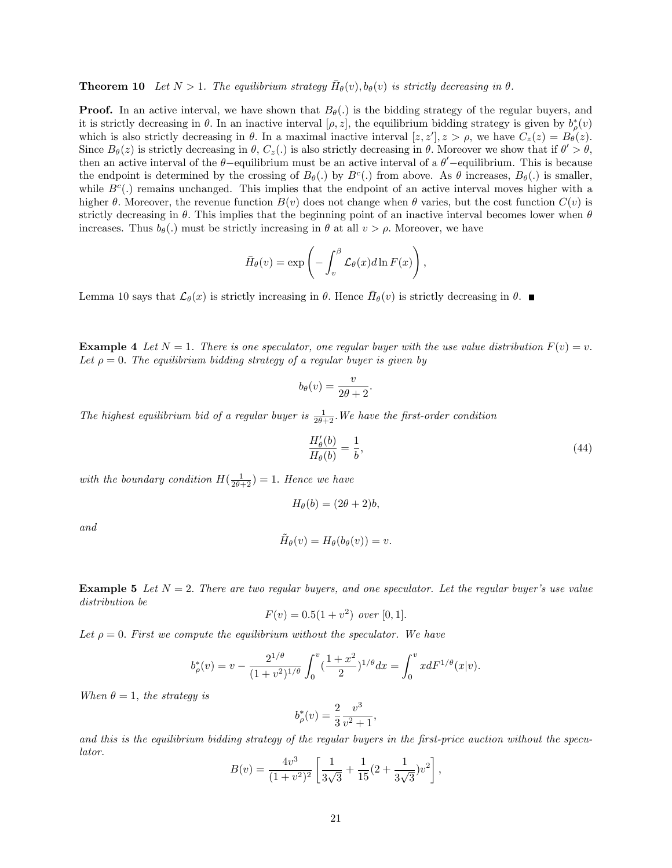**Theorem 10** Let  $N > 1$ . The equilibrium strategy  $\bar{H}_{\theta}(v)$ ,  $b_{\theta}(v)$  is strictly decreasing in  $\theta$ .

**Proof.** In an active interval, we have shown that  $B_{\theta}(.)$  is the bidding strategy of the regular buyers, and it is strictly decreasing in  $\theta$ . In an inactive interval  $[\rho, z]$ , the equilibrium bidding strategy is given by  $b^*_{\rho}(v)$ which is also strictly decreasing in  $\theta$ . In a maximal inactive interval  $[z, z'], z > \rho$ , we have  $C_z(z) = B_{\theta}(z)$ . Since  $B_{\theta}(z)$  is strictly decreasing in  $\theta$ ,  $C_{z}(.)$  is also strictly decreasing in  $\theta$ . Moreover we show that if  $\theta' > \theta$ , then an active interval of the  $\theta$ -equilibrium must be an active interval of a  $\theta'$ -equilibrium. This is because the endpoint is determined by the crossing of  $B_{\theta}(.)$  by  $B^c(.)$  from above. As  $\theta$  increases,  $B_{\theta}(.)$  is smaller, while  $B<sup>c</sup>(.)$  remains unchanged. This implies that the endpoint of an active interval moves higher with a higher  $\theta$ . Moreover, the revenue function  $B(v)$  does not change when  $\theta$  varies, but the cost function  $C(v)$  is strictly decreasing in  $\theta$ . This implies that the beginning point of an inactive interval becomes lower when  $\theta$ increases. Thus  $b_{\theta}(.)$  must be strictly increasing in  $\theta$  at all  $v > \rho$ . Moreover, we have

$$
\bar{H}_{\theta}(v) = \exp\left(-\int_v^{\beta} \mathcal{L}_{\theta}(x) d\ln F(x)\right),\,
$$

Lemma 10 says that  $\mathcal{L}_{\theta}(x)$  is strictly increasing in  $\theta$ . Hence  $\bar{H}_{\theta}(v)$  is strictly decreasing in  $\theta$ .

**Example 4** Let  $N = 1$ . There is one speculator, one regular buyer with the use value distribution  $F(v) = v$ . Let  $\rho = 0$ . The equilibrium bidding strategy of a regular buyer is given by

$$
b_{\theta}(v) = \frac{v}{2\theta + 2}.
$$

The highest equilibrium bid of a regular buyer is  $\frac{1}{2\theta+2}$ . We have the first-order condition

$$
\frac{H'_{\theta}(b)}{H_{\theta}(b)} = \frac{1}{b},\tag{44}
$$

with the boundary condition  $H(\frac{1}{2\theta+2}) = 1$ . Hence we have

$$
H_{\theta}(b) = (2\theta + 2)b,
$$

and

$$
\tilde{H}_{\theta}(v) = H_{\theta}(b_{\theta}(v)) = v.
$$

**Example 5** Let  $N = 2$ . There are two regular buyers, and one speculator. Let the regular buyer's use value distribution be

$$
F(v) = 0.5(1 + v2) \ over [0, 1].
$$

Let  $\rho = 0$ . First we compute the equilibrium without the speculator. We have

$$
b_{\rho}^*(v) = v - \frac{2^{1/\theta}}{(1+v^2)^{1/\theta}} \int_0^v \left(\frac{1+x^2}{2}\right)^{1/\theta} dx = \int_0^v x dF^{1/\theta}(x|v).
$$

When  $\theta = 1$ , the strategy is

$$
b^*_{\rho}(v) = \frac{2}{3} \frac{v^3}{v^2 + 1},
$$

and this is the equilibrium bidding strategy of the regular buyers in the Örst-price auction without the speculator.

$$
B(v) = \frac{4v^3}{(1+v^2)^2} \left[ \frac{1}{3\sqrt{3}} + \frac{1}{15} (2 + \frac{1}{3\sqrt{3}}) v^2 \right],
$$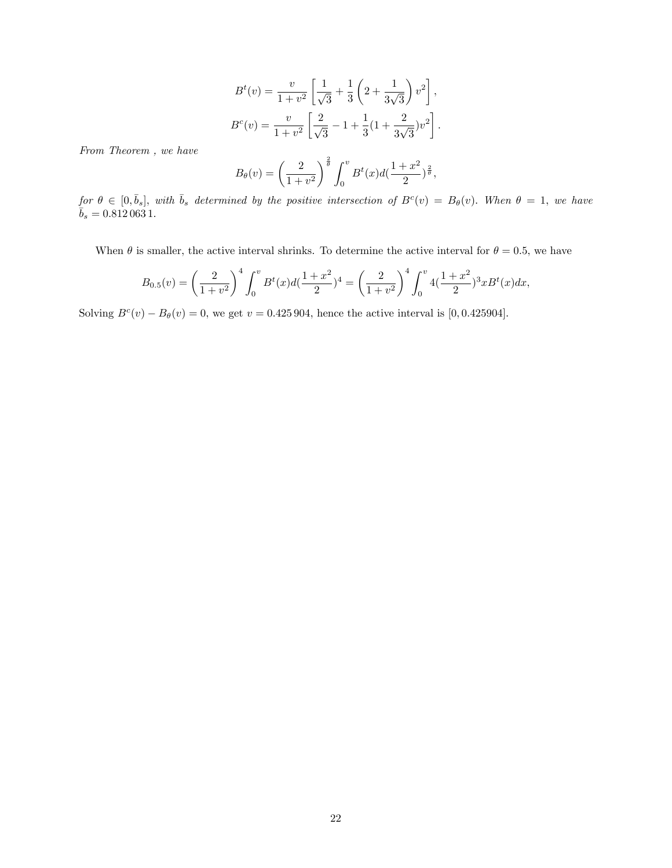$$
B^{t}(v) = \frac{v}{1+v^{2}} \left[ \frac{1}{\sqrt{3}} + \frac{1}{3} \left( 2 + \frac{1}{3\sqrt{3}} \right) v^{2} \right],
$$
  

$$
B^{c}(v) = \frac{v}{1+v^{2}} \left[ \frac{2}{\sqrt{3}} - 1 + \frac{1}{3} (1 + \frac{2}{3\sqrt{3}}) v^{2} \right].
$$

From Theorem , we have

$$
B_{\theta}(v) = \left(\frac{2}{1+v^2}\right)^{\frac{2}{\theta}} \int_0^v B^t(x) d(\frac{1+x^2}{2})^{\frac{2}{\theta}},
$$

 $\text{for } \theta \in [0, \bar{b}_s], \text{ with } \bar{b}_s \text{ determined by the positive intersection of } B^c(v) = B_{\theta}(v).$  When  $\theta = 1$ , we have  $\bar{b}_s = 0.812\,063\,1.$ 

When  $\theta$  is smaller, the active interval shrinks. To determine the active interval for  $\theta = 0.5$ , we have

$$
B_{0.5}(v) = \left(\frac{2}{1+v^2}\right)^4 \int_0^v B^t(x) d\left(\frac{1+x^2}{2}\right)^4 = \left(\frac{2}{1+v^2}\right)^4 \int_0^v 4\left(\frac{1+x^2}{2}\right)^3 x B^t(x) dx,
$$

Solving  $B^{c}(v) - B_{\theta}(v) = 0$ , we get  $v = 0.425904$ , hence the active interval is [0,0.425904].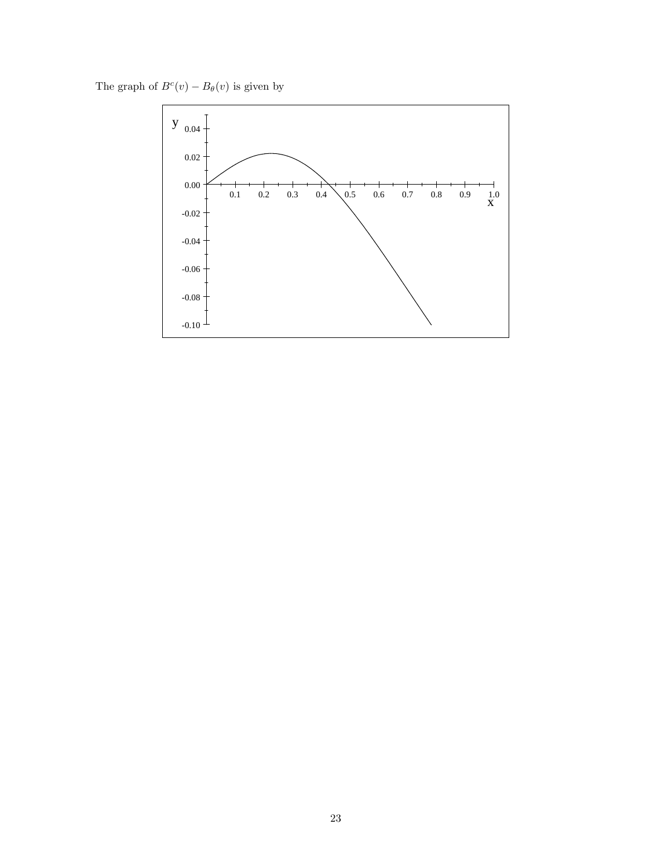The graph of  $B<sup>c</sup>(v) - B<sub>\theta</sub>(v)$  is given by

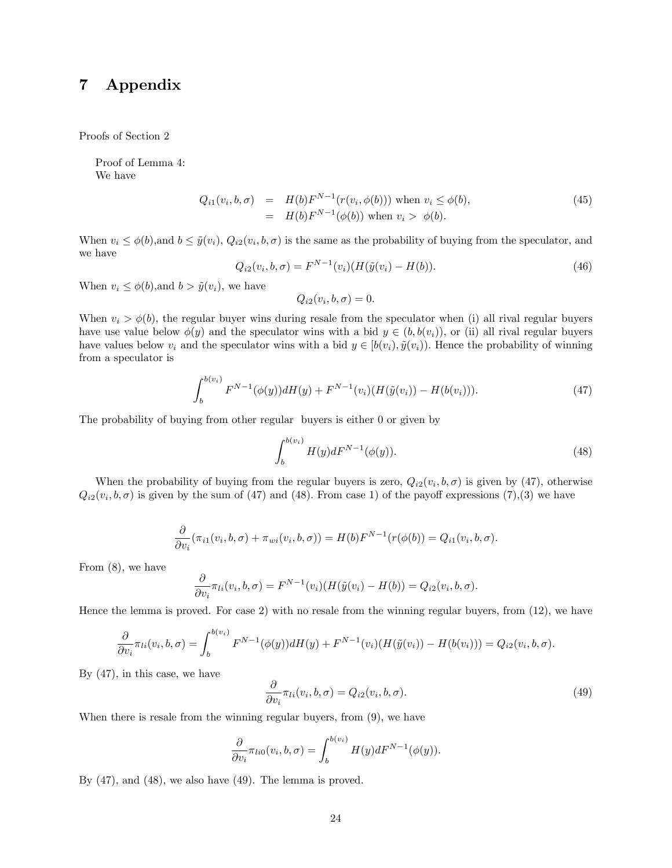# 7 Appendix

Proofs of Section 2

Proof of Lemma 4: We have

$$
Q_{i1}(v_i, b, \sigma) = H(b)F^{N-1}(r(v_i, \phi(b))) \text{ when } v_i \le \phi(b),
$$
  
=  $H(b)F^{N-1}(\phi(b))$  when  $v_i > \phi(b)$ . (45)

When  $v_i \leq \phi(b)$ , and  $b \leq \tilde{y}(v_i)$ ,  $Q_{i2}(v_i, b, \sigma)$  is the same as the probability of buying from the speculator, and we have

$$
Q_{i2}(v_i, b, \sigma) = F^{N-1}(v_i)(H(\tilde{y}(v_i) - H(b)).
$$
\n(46)

When  $v_i \leq \phi(b)$ , and  $b > \tilde{y}(v_i)$ , we have

$$
Q_{i2}(v_i, b, \sigma) = 0.
$$

When  $v_i > \phi(b)$ , the regular buyer wins during resale from the speculator when (i) all rival regular buyers have use value below  $\phi(y)$  and the speculator wins with a bid  $y \in (b, b(v_i))$ , or (ii) all rival regular buyers have values below  $v_i$  and the speculator wins with a bid  $y \in [b(v_i), \tilde{y}(v_i))$ . Hence the probability of winning from a speculator is

$$
\int_{b}^{b(v_i)} F^{N-1}(\phi(y))dH(y) + F^{N-1}(v_i)(H(\tilde{y}(v_i)) - H(b(v_i))).
$$
\n(47)

The probability of buying from other regular buyers is either 0 or given by

$$
\int_{b}^{b(v_i)} H(y) dF^{N-1}(\phi(y)).
$$
\n(48)

When the probability of buying from the regular buyers is zero,  $Q_{i2}(v_i, b, \sigma)$  is given by (47), otherwise  $Q_{i2}(v_i, b, \sigma)$  is given by the sum of (47) and (48). From case 1) of the payoff expressions (7),(3) we have

$$
\frac{\partial}{\partial v_i}(\pi_{i1}(v_i,b,\sigma)+\pi_{wi}(v_i,b,\sigma))=H(b)F^{N-1}(r(\phi(b))=Q_{i1}(v_i,b,\sigma).
$$

From (8), we have

$$
\frac{\partial}{\partial v_i} \pi_{li}(v_i, b, \sigma) = F^{N-1}(v_i) (H(\tilde{y}(v_i) - H(b))) = Q_{i2}(v_i, b, \sigma).
$$

Hence the lemma is proved. For case 2) with no resale from the winning regular buyers, from (12), we have

$$
\frac{\partial}{\partial v_i} \pi_{li}(v_i, b, \sigma) = \int_b^{b(v_i)} F^{N-1}(\phi(y)) dH(y) + F^{N-1}(v_i) (H(\tilde{y}(v_i)) - H(b(v_i))) = Q_{i2}(v_i, b, \sigma).
$$

By (47), in this case, we have

$$
\frac{\partial}{\partial v_i} \pi_{li}(v_i, b, \sigma) = Q_{i2}(v_i, b, \sigma).
$$
\n(49)

When there is resale from the winning regular buyers, from (9), we have

$$
\frac{\partial}{\partial v_i} \pi_{li0}(v_i, b, \sigma) = \int_b^{b(v_i)} H(y) dF^{N-1}(\phi(y)).
$$

By (47), and (48), we also have (49). The lemma is proved.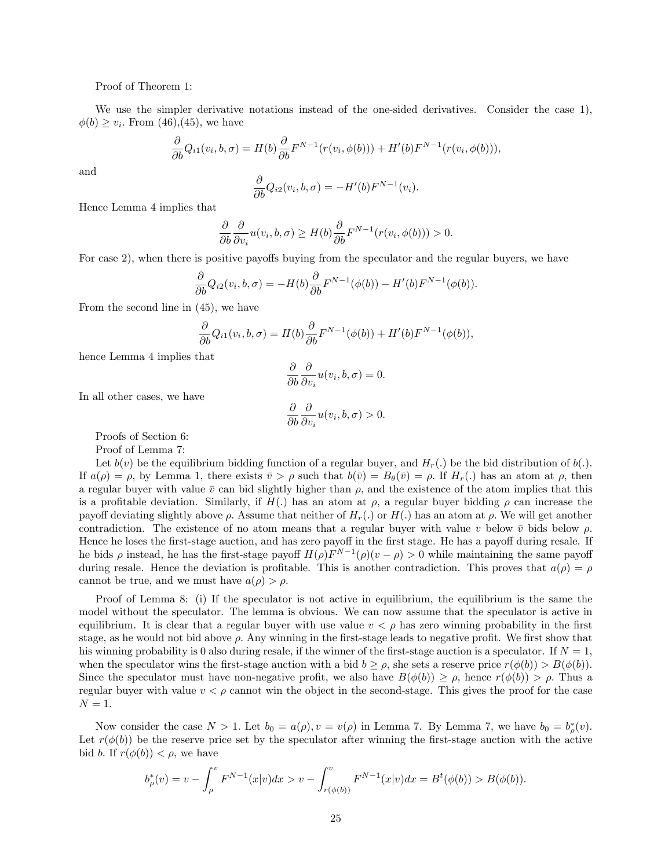Proof of Theorem 1:

We use the simpler derivative notations instead of the one-sided derivatives. Consider the case 1),  $\phi(b) \ge v_i$ . From (46),(45), we have

$$
\frac{\partial}{\partial b}Q_{i1}(v_i, b, \sigma) = H(b)\frac{\partial}{\partial b}F^{N-1}(r(v_i, \phi(b))) + H'(b)F^{N-1}(r(v_i, \phi(b))),
$$

and

$$
\frac{\partial}{\partial b}Q_{i2}(v_i, b, \sigma) = -H'(b)F^{N-1}(v_i).
$$

Hence Lemma 4 implies that

$$
\frac{\partial}{\partial b}\frac{\partial}{\partial v_i}u(v_i,b,\sigma)\geq H(b)\frac{\partial}{\partial b}F^{N-1}(r(v_i,\phi(b)))>0.
$$

For case 2), when there is positive payoffs buying from the speculator and the regular buyers, we have

$$
\frac{\partial}{\partial b}Q_{i2}(v_i, b, \sigma) = -H(b)\frac{\partial}{\partial b}F^{N-1}(\phi(b)) - H'(b)F^{N-1}(\phi(b)).
$$

From the second line in (45), we have

$$
\frac{\partial}{\partial b}Q_{i1}(v_i, b, \sigma) = H(b)\frac{\partial}{\partial b}F^{N-1}(\phi(b)) + H'(b)F^{N-1}(\phi(b)),
$$

hence Lemma 4 implies that

$$
\frac{\partial}{\partial b} \frac{\partial}{\partial v_i} u(v_i, b, \sigma) = 0.
$$

In all other cases, we have

$$
\frac{\partial}{\partial b} \frac{\partial}{\partial v_i} u(v_i, b, \sigma) > 0.
$$

Proofs of Section 6:

Proof of Lemma 7:

Let  $b(v)$  be the equilibrium bidding function of a regular buyer, and  $H_r(.)$  be the bid distribution of  $b(.)$ . If  $a(\rho) = \rho$ , by Lemma 1, there exists  $\bar{v} > \rho$  such that  $b(\bar{v}) = B_{\theta}(\bar{v}) = \rho$ . If  $H_r(.)$  has an atom at  $\rho$ , then a regular buyer with value  $\bar{v}$  can bid slightly higher than  $\rho$ , and the existence of the atom implies that this is a profitable deviation. Similarly, if  $H(.)$  has an atom at  $\rho$ , a regular buyer bidding  $\rho$  can increase the payoff deviating slightly above  $\rho$ . Assume that neither of  $H_r(.)$  or  $H(.)$  has an atom at  $\rho$ . We will get another contradiction. The existence of no atom means that a regular buyer with value v below  $\bar{v}$  bids below  $\rho$ . Hence he loses the first-stage auction, and has zero payoff in the first stage. He has a payoff during resale. If he bids  $\rho$  instead, he has the first-stage payoff  $H(\rho)F^{N-1}(\rho)(v-\rho) > 0$  while maintaining the same payoff during resale. Hence the deviation is profitable. This is another contradiction. This proves that  $a(\rho) = \rho$ cannot be true, and we must have  $a(\rho) > \rho$ .

Proof of Lemma 8: (i) If the speculator is not active in equilibrium, the equilibrium is the same the model without the speculator. The lemma is obvious. We can now assume that the speculator is active in equilibrium. It is clear that a regular buyer with use value  $v < \rho$  has zero winning probability in the first stage, as he would not bid above  $\rho$ . Any winning in the first-stage leads to negative profit. We first show that his winning probability is 0 also during resale, if the winner of the first-stage auction is a speculator. If  $N = 1$ , when the speculator wins the first-stage auction with a bid  $b \ge \rho$ , she sets a reserve price  $r(\phi(b)) > B(\phi(b))$ . Since the speculator must have non-negative profit, we also have  $B(\phi(b)) \ge \rho$ , hence  $r(\phi(b)) > \rho$ . Thus a regular buyer with value  $v < \rho$  cannot win the object in the second-stage. This gives the proof for the case  $N=1.$ 

Now consider the case  $N > 1$ . Let  $b_0 = a(\rho), v = v(\rho)$  in Lemma 7. By Lemma 7, we have  $b_0 = b^*_{\rho}(v)$ . Let  $r(\phi(b))$  be the reserve price set by the speculator after winning the first-stage auction with the active bid b. If  $r(\phi(b)) < \rho$ , we have

$$
b_{\rho}^*(v) = v - \int_{\rho}^v F^{N-1}(x|v) dx > v - \int_{r(\phi(b))}^v F^{N-1}(x|v) dx = B^t(\phi(b)) > B(\phi(b)).
$$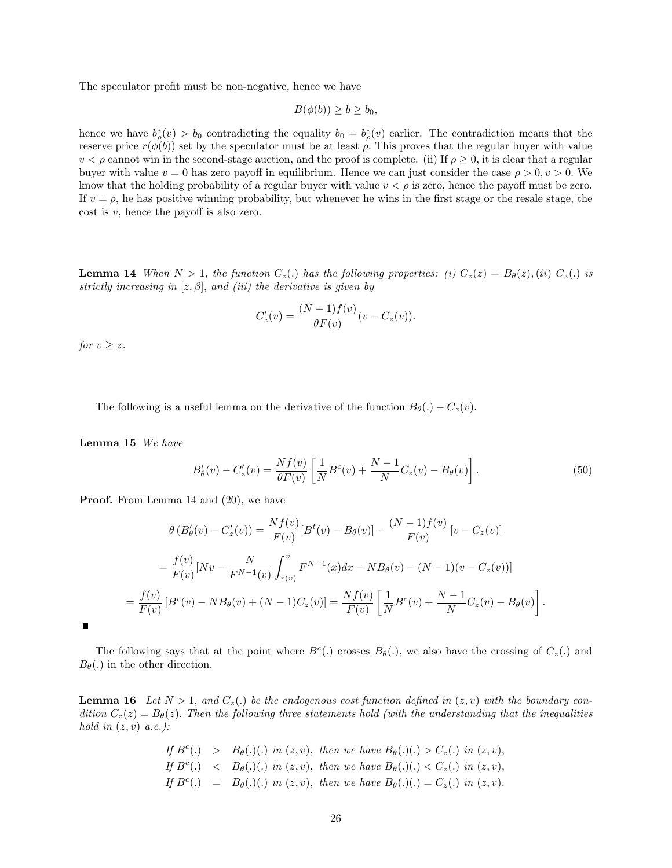The speculator profit must be non-negative, hence we have

$$
B(\phi(b)) \ge b \ge b_0,
$$

hence we have  $b^*_{\rho}(v) > b_0$  contradicting the equality  $b_0 = b^*_{\rho}(v)$  earlier. The contradiction means that the reserve price  $r(\phi(b))$  set by the speculator must be at least  $\rho$ . This proves that the regular buyer with value  $v < \rho$  cannot win in the second-stage auction, and the proof is complete. (ii) If  $\rho \geq 0$ , it is clear that a regular buyer with value  $v = 0$  has zero payoff in equilibrium. Hence we can just consider the case  $\rho > 0$ ,  $v > 0$ . We know that the holding probability of a regular buyer with value  $v < \rho$  is zero, hence the payoff must be zero. If  $v = \rho$ , he has positive winning probability, but whenever he wins in the first stage or the resale stage, the cost is  $v$ , hence the payoff is also zero.

**Lemma 14** When  $N > 1$ , the function  $C_z(.)$  has the following properties: (i)  $C_z(z) = B_\theta(z)$ , (ii)  $C_z(.)$  is strictly increasing in  $[z, \beta]$ , and (iii) the derivative is given by

$$
C'_{z}(v) = \frac{(N-1)f(v)}{\theta F(v)}(v - C_{z}(v)).
$$

for  $v \geq z$ .

The following is a useful lemma on the derivative of the function  $B_{\theta}(.) - C_{z}(v)$ .

Lemma 15 We have

$$
B'_{\theta}(v) - C'_{z}(v) = \frac{Nf(v)}{\theta F(v)} \left[ \frac{1}{N} B^{c}(v) + \frac{N-1}{N} C_{z}(v) - B_{\theta}(v) \right].
$$
 (50)

Proof. From Lemma 14 and  $(20)$ , we have

$$
\theta (B'_{\theta}(v) - C'_{z}(v)) = \frac{Nf(v)}{F(v)} [B^{t}(v) - B_{\theta}(v)] - \frac{(N-1)f(v)}{F(v)} [v - C_{z}(v)]
$$
  

$$
= \frac{f(v)}{F(v)} [Nv - \frac{N}{F^{N-1}(v)} \int_{r(v)}^{v} F^{N-1}(x) dx - NB_{\theta}(v) - (N-1)(v - C_{z}(v))] = \frac{f(v)}{F(v)} [B^{c}(v) - NB_{\theta}(v) + (N-1)C_{z}(v)] = \frac{Nf(v)}{F(v)} \left[ \frac{1}{N} B^{c}(v) + \frac{N-1}{N} C_{z}(v) - B_{\theta}(v) \right].
$$

The following says that at the point where  $B^c(.)$  crosses  $B_{\theta}(.)$ , we also have the crossing of  $C_z(.)$  and  $B_{\theta}(.)$  in the other direction.

**Lemma 16** Let  $N > 1$ , and  $C_z(.)$  be the endogenous cost function defined in  $(z, v)$  with the boundary condition  $C_z(z) = B_\theta(z)$ . Then the following three statements hold (with the understanding that the inequalities hold in  $(z, v)$  a.e.):

If 
$$
B^c(.)
$$
 >  $B_{\theta}(.)(.)$  in  $(z, v)$ , then we have  $B_{\theta}(.)(.) > C_z(.)$  in  $(z, v)$ , If  $B^c(.)$  <  $B_{\theta}(.)(.)$  in  $(z, v)$ , then we have  $B_{\theta}(.)(.) < C_z(.)$  in  $(z, v)$ , If  $B^c(.)$  =  $B_{\theta}(.)(.)$  in  $(z, v)$ , then we have  $B_{\theta}(.)(.) = C_z(.)$  in  $(z, v)$ .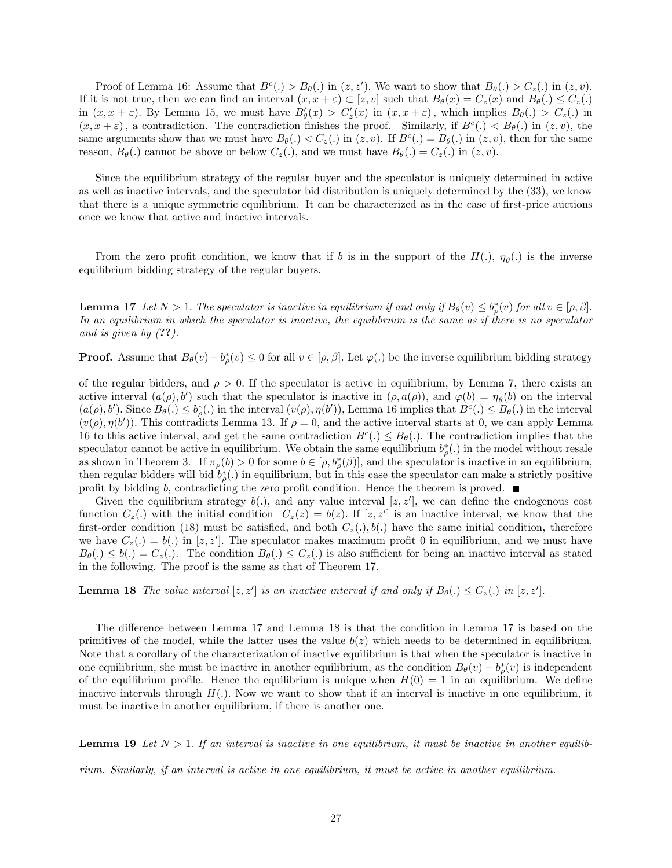Proof of Lemma 16: Assume that  $B^{c}(.) > B_{\theta}(.)$  in  $(z, z')$ . We want to show that  $B_{\theta}(.) > C_{z}(.)$  in  $(z, v)$ . If it is not true, then we can find an interval  $(x, x + \varepsilon) \subset [z, v]$  such that  $B_{\theta}(x) = C_{z}(x)$  and  $B_{\theta}(\cdot) \le C_{z}(\cdot)$ in  $(x, x + \varepsilon)$ . By Lemma 15, we must have  $B_{\theta}'(x) > C'_{z}(x)$  in  $(x, x + \varepsilon)$ , which implies  $B_{\theta}(.) > C_{z}(.)$  in  $(x, x + \varepsilon)$ , a contradiction. The contradiction finishes the proof. Similarly, if  $B<sup>c</sup>(.) < B<sub>\theta</sub>(.)$  in  $(z, v)$ , the same arguments show that we must have  $B_{\theta}(.) < C_{z}(.)$  in  $(z, v)$ . If  $B^{c}(.) = B_{\theta}(.)$  in  $(z, v)$ , then for the same reason,  $B_{\theta}(.)$  cannot be above or below  $C_{z}(.)$ , and we must have  $B_{\theta}(.) = C_{z}(.)$  in  $(z, v)$ .

Since the equilibrium strategy of the regular buyer and the speculator is uniquely determined in active as well as inactive intervals, and the speculator bid distribution is uniquely determined by the (33), we know that there is a unique symmetric equilibrium. It can be characterized as in the case of first-price auctions once we know that active and inactive intervals.

From the zero profit condition, we know that if b is in the support of the  $H(.)$ ,  $\eta_{\theta}(.)$  is the inverse equilibrium bidding strategy of the regular buyers.

**Lemma 17** Let  $N > 1$ . The speculator is inactive in equilibrium if and only if  $B_{\theta}(v) \leq b_{\rho}^{*}(v)$  for all  $v \in [\rho, \beta]$ . In an equilibrium in which the speculator is inactive, the equilibrium is the same as if there is no speculator and is given by (??).

**Proof.** Assume that  $B_{\theta}(v) - b_{\rho}^*(v) \leq 0$  for all  $v \in [\rho, \beta]$ . Let  $\varphi(.)$  be the inverse equilibrium bidding strategy

of the regular bidders, and  $\rho > 0$ . If the speculator is active in equilibrium, by Lemma 7, there exists an active interval  $(a(\rho), b')$  such that the speculator is inactive in  $(\rho, a(\rho))$ , and  $\varphi(b) = \eta_{\theta}(b)$  on the interval  $(a(\rho), b')$ . Since  $B_{\theta}(.) \leq b_{\rho}^{*}(.)$  in the interval  $(v(\rho), \eta(b'))$ , Lemma 16 implies that  $B^{c}(.) \leq B_{\theta}(.)$  in the interval  $(v(\rho), \eta(b'))$ . This contradicts Lemma 13. If  $\rho = 0$ , and the active interval starts at 0, we can apply Lemma 16 to this active interval, and get the same contradiction  $B^c(.) \leq B_{\theta}(.)$ . The contradiction implies that the speculator cannot be active in equilibrium. We obtain the same equilibrium  $b^*_{\rho}(.)$  in the model without resale as shown in Theorem 3. If  $\pi_{\rho}(b) > 0$  for some  $b \in [\rho, b_{\rho}^{*}(\beta)]$ , and the speculator is inactive in an equilibrium, then regular bidders will bid  $b^*_{\rho}$ .) in equilibrium, but in this case the speculator can make a strictly positive profit by bidding b, contradicting the zero profit condition. Hence the theorem is proved.  $\blacksquare$ 

Given the equilibrium strategy  $b(.)$ , and any value interval  $[z, z']$ , we can define the endogenous cost function  $C_z(.)$  with the initial condition  $C_z(z) = b(z)$ . If  $[z, z']$  is an inactive interval, we know that the first-order condition (18) must be satisfied, and both  $C_z(.)$ ,  $b(.)$  have the same initial condition, therefore we have  $C_z(.) = b(.)$  in [z, z']. The speculator makes maximum profit 0 in equilibrium, and we must have  $B_{\theta}(.) \leq b(.) = C_{z}(.)$ . The condition  $B_{\theta}(.) \leq C_{z}(.)$  is also sufficient for being an inactive interval as stated in the following. The proof is the same as that of Theorem 17.

**Lemma 18** The value interval  $[z, z']$  is an inactive interval if and only if  $B_{\theta}(.) \leq C_{z}(.)$  in  $[z, z']$ .

The difference between Lemma 17 and Lemma 18 is that the condition in Lemma 17 is based on the primitives of the model, while the latter uses the value  $b(z)$  which needs to be determined in equilibrium. Note that a corollary of the characterization of inactive equilibrium is that when the speculator is inactive in one equilibrium, she must be inactive in another equilibrium, as the condition  $B_{\theta}(v) - b_{\rho}^{*}(v)$  is independent of the equilibrium profile. Hence the equilibrium is unique when  $H(0) = 1$  in an equilibrium. We define inactive intervals through  $H(.)$ . Now we want to show that if an interval is inactive in one equilibrium, it must be inactive in another equilibrium, if there is another one.

**Lemma 19** Let  $N > 1$ . If an interval is inactive in one equilibrium, it must be inactive in another equilib-

rium. Similarly, if an interval is active in one equilibrium, it must be active in another equilibrium.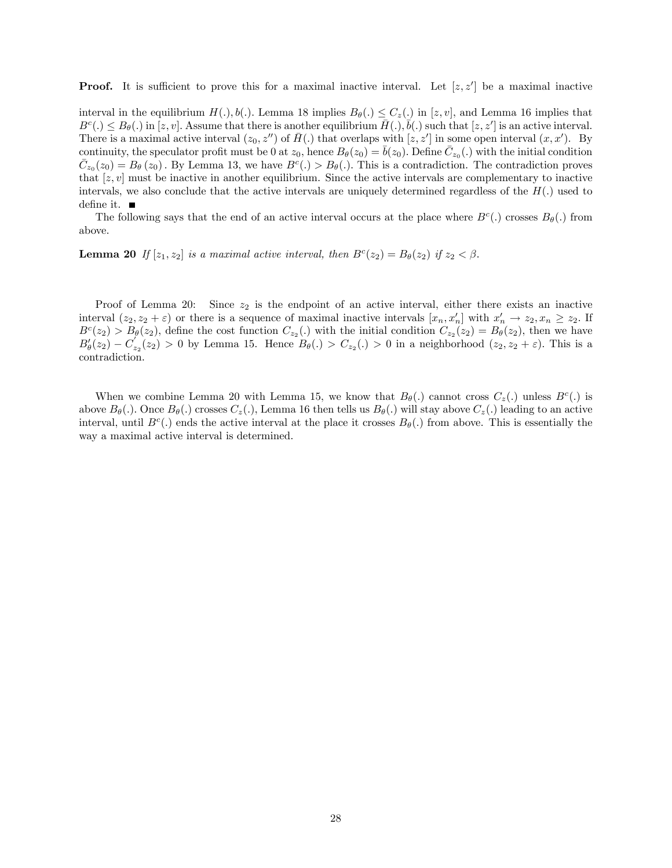**Proof.** It is sufficient to prove this for a maximal inactive interval. Let  $[z, z']$  be a maximal inactive

interval in the equilibrium  $H(.)$ ,  $b(.)$ . Lemma 18 implies  $B_{\theta}(.) \leq C_{z}(.)$  in  $[z, v]$ , and Lemma 16 implies that  $B^c(.) \leq B_{\theta}(.)$  in  $[z, v]$ . Assume that there is another equilibrium  $\bar{H}(.)$ ,  $\bar{b}(.)$  such that  $[z, z']$  is an active interval. There is a maximal active interval  $(z_0, z'')$  of  $\bar{H}$ . that overlaps with  $[z, z']$  in some open interval  $(x, x')$ . By continuity, the speculator profit must be 0 at  $z_0$ , hence  $B_{\theta}(z_0) = \overline{b}(z_0)$ . Define  $\overline{C}_{z_0}(.)$  with the initial condition  $\overline{C}_{z_0}(z_0) = B_{\theta}(z_0)$ . By Lemma 13, we have  $B^c(.) > B_{\theta}(.)$ . This is a contradiction. The contradiction proves that  $[z, v]$  must be inactive in another equilibrium. Since the active intervals are complementary to inactive intervals, we also conclude that the active intervals are uniquely determined regardless of the  $H(.)$  used to define it.  $\blacksquare$ 

The following says that the end of an active interval occurs at the place where  $B<sup>c</sup>(.)$  crosses  $B<sub>\theta</sub>(.)$  from above.

**Lemma 20** If  $[z_1, z_2]$  is a maximal active interval, then  $B<sup>c</sup>(z_2) = B<sub>\theta</sub>(z_2)$  if  $z_2 < \beta$ .

Proof of Lemma 20: Since  $z_2$  is the endpoint of an active interval, either there exists an inactive interval  $(z_2, z_2 + \varepsilon)$  or there is a sequence of maximal inactive intervals  $[x_n, x'_n]$  with  $x'_n \to z_2, x_n \ge z_2$ . If  $B<sup>c</sup>(z<sub>2</sub>) > B<sub>\theta</sub>(z<sub>2</sub>)$ , define the cost function  $C_{z_2}(z)$  with the initial condition  $C_{z_2}(z_2) = B_{\theta}(z_2)$ , then we have  $B'_\theta(z_2) - C'_{z_2}(z_2) > 0$  by Lemma 15. Hence  $B_\theta(.) > C_{z_2}(.) > 0$  in a neighborhood  $(z_2, z_2 + \varepsilon)$ . This is a contradiction.

When we combine Lemma 20 with Lemma 15, we know that  $B_{\theta}(\cdot)$  cannot cross  $C_{z}(\cdot)$  unless  $B^{c}(\cdot)$  is above  $B_{\theta}(.)$ . Once  $B_{\theta}(.)$  crosses  $C_{z}(.)$ , Lemma 16 then tells us  $B_{\theta}(.)$  will stay above  $C_{z}(.)$  leading to an active interval, until  $B^c(.)$  ends the active interval at the place it crosses  $B_{\theta}(.)$  from above. This is essentially the way a maximal active interval is determined.